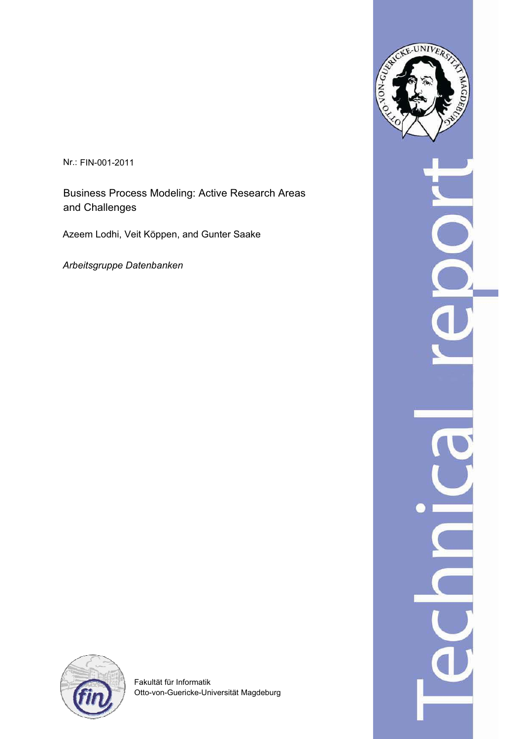Nr.: FIN-001-2011

Business Process Modeling: Active Research Areas and Challenges

Azeem Lodhi, Veit Köppen, and Gunter Saake

*Arbeitsgruppe Datenbanken*





Fakultät für Informatik Otto-von-Guericke-Universität Magdeburg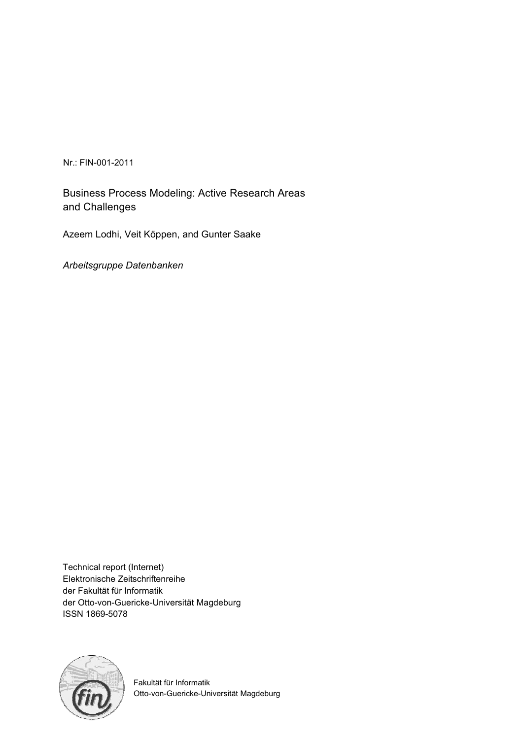Nr.: FIN-001-2011

Business Process Modeling: Active Research Areas and Challenges

Azeem Lodhi, Veit Köppen, and Gunter Saake

*Arbeitsgruppe Datenbanken*

Technical report (Internet) Elektronische Zeitschriftenreihe der Fakultät für Informatik der Otto-von-Guericke-Universität Magdeburg ISSN 1869-5078



Fakultät für Informatik Otto-von-Guericke-Universität Magdeburg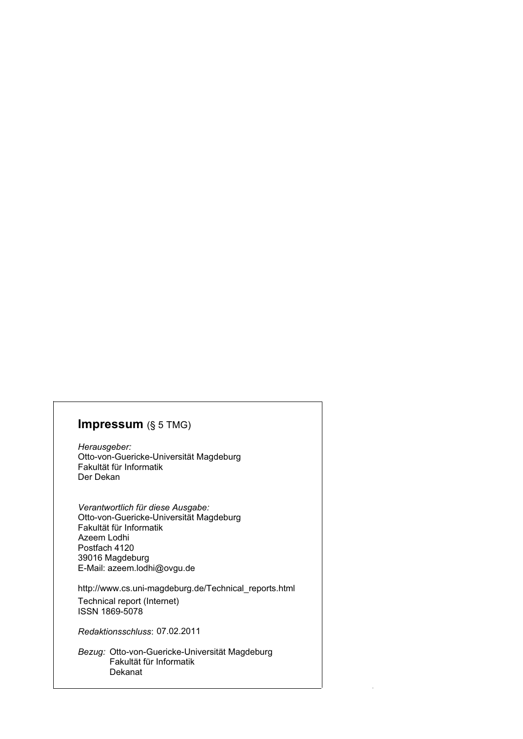## **Impressum** (§ 5 TMG)

*Herausgeber:*  Otto-von-Guericke-Universität Magdeburg Fakultät für Informatik Der Dekan

*Verantwortlich für diese Ausgabe:*  Otto-von-Guericke-Universität Magdeburg Fakultät für Informatik Postfach 4120 39016 Magdeburg E-Mail: azeem.lodhi@ovgu.de Azeem Lodhi

http://www.cs.uni-magdeburg.de/Technical\_reports.html

Technical report (Internet) ISSN 1869-5078

*Redaktionsschluss*: 07.02.2011

*Bezug:* Otto-von-Guericke-Universität Magdeburg Fakultät für Informatik Dekanat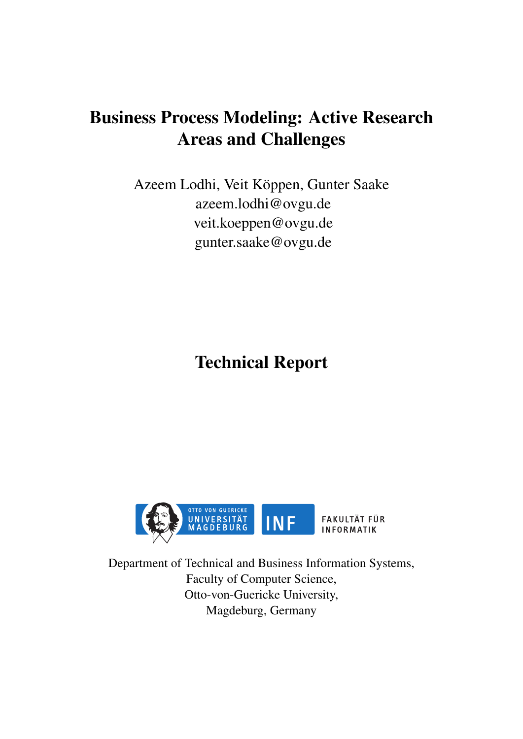# Business Process Modeling: Active Research Areas and Challenges

Azeem Lodhi, Veit Köppen, Gunter Saake azeem.lodhi@ovgu.de veit.koeppen@ovgu.de gunter.saake@ovgu.de

Technical Report



Department of Technical and Business Information Systems, Faculty of Computer Science, Otto-von-Guericke University, Magdeburg, Germany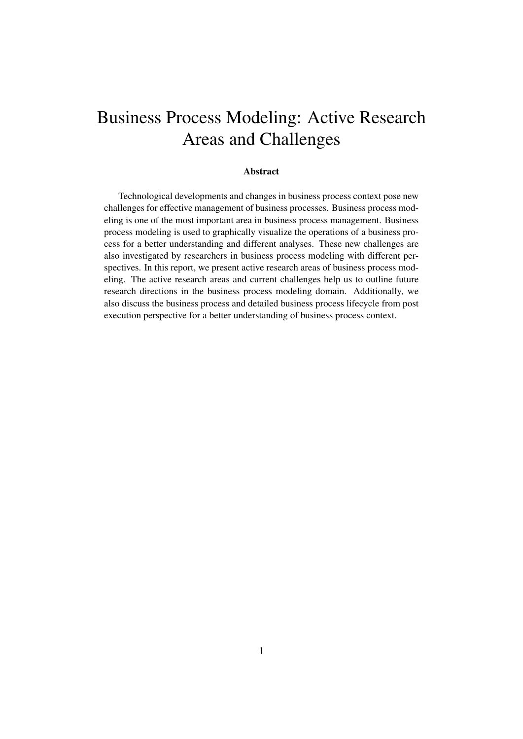# Business Process Modeling: Active Research Areas and Challenges

#### Abstract

Technological developments and changes in business process context pose new challenges for effective management of business processes. Business process modeling is one of the most important area in business process management. Business process modeling is used to graphically visualize the operations of a business process for a better understanding and different analyses. These new challenges are also investigated by researchers in business process modeling with different perspectives. In this report, we present active research areas of business process modeling. The active research areas and current challenges help us to outline future research directions in the business process modeling domain. Additionally, we also discuss the business process and detailed business process lifecycle from post execution perspective for a better understanding of business process context.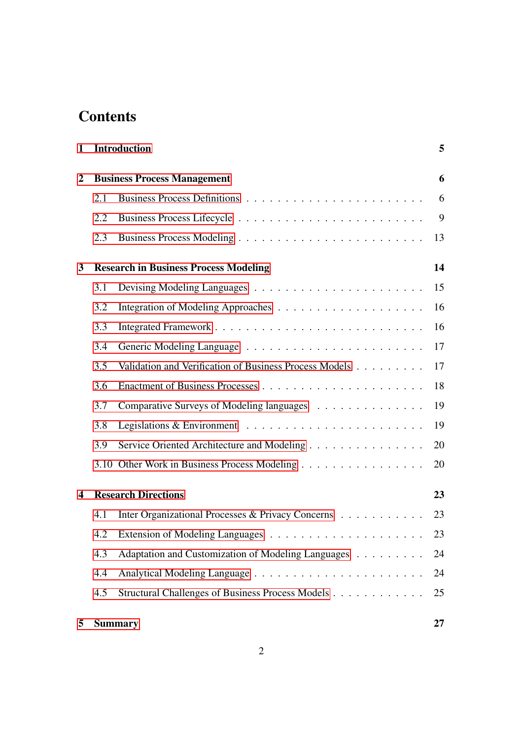# **Contents**

| 1                       |     | <b>Introduction</b>                                    | 5  |
|-------------------------|-----|--------------------------------------------------------|----|
| $\overline{2}$          |     | <b>Business Process Management</b>                     | 6  |
|                         | 2.1 |                                                        | 6  |
|                         | 2.2 |                                                        | 9  |
|                         | 2.3 |                                                        | 13 |
| $\mathbf{3}$            |     | <b>Research in Business Process Modeling</b>           | 14 |
|                         | 3.1 |                                                        | 15 |
|                         | 3.2 |                                                        | 16 |
|                         | 3.3 |                                                        | 16 |
|                         | 3.4 |                                                        | 17 |
|                         | 3.5 | Validation and Verification of Business Process Models | 17 |
|                         | 3.6 |                                                        | 18 |
|                         | 3.7 | Comparative Surveys of Modeling languages              | 19 |
|                         | 3.8 |                                                        | 19 |
|                         | 3.9 | Service Oriented Architecture and Modeling             | 20 |
|                         |     | 3.10 Other Work in Business Process Modeling           | 20 |
| $\overline{\mathbf{4}}$ |     | <b>Research Directions</b>                             | 23 |
|                         | 4.1 | Inter Organizational Processes & Privacy Concerns      | 23 |
|                         | 4.2 |                                                        | 23 |
|                         | 4.3 | Adaptation and Customization of Modeling Languages     | 24 |
|                         | 4.4 |                                                        | 24 |
|                         | 4.5 | Structural Challenges of Business Process Models       | 25 |
| 5                       |     | <b>Summary</b>                                         | 27 |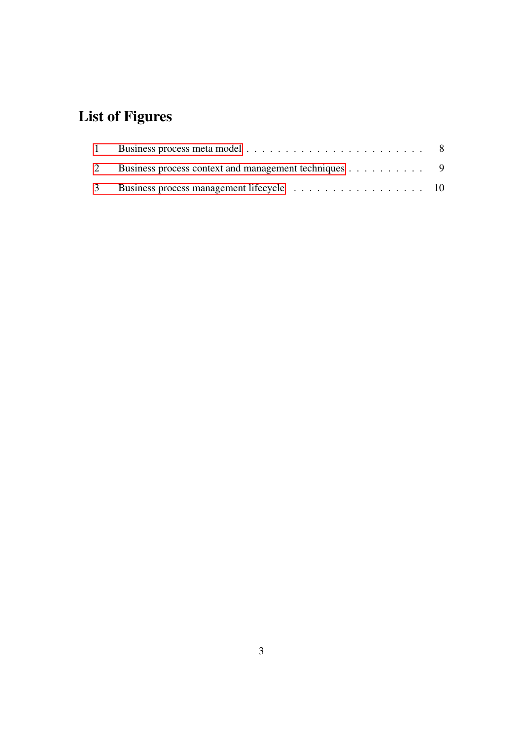# List of Figures

| 2 Business process context and management techniques 9 |  |
|--------------------------------------------------------|--|
|                                                        |  |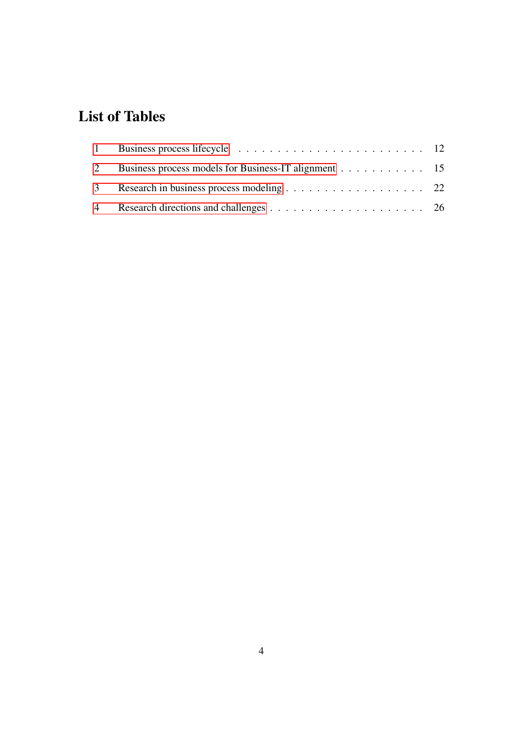# List of Tables

| 2 Business process models for Business-IT alignment 15 |  |
|--------------------------------------------------------|--|
| 3 Research in business process modeling 22             |  |
|                                                        |  |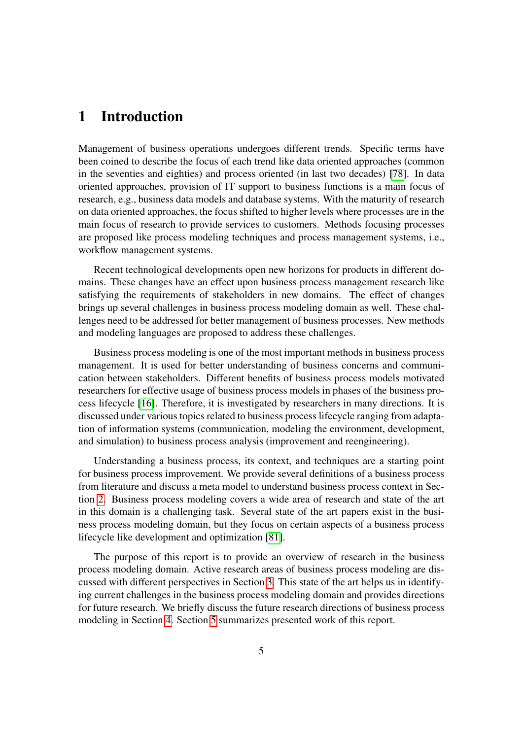# <span id="page-8-0"></span>1 Introduction

Management of business operations undergoes different trends. Specific terms have been coined to describe the focus of each trend like data oriented approaches (common in the seventies and eighties) and process oriented (in last two decades) [\[78\]](#page-37-0). In data oriented approaches, provision of IT support to business functions is a main focus of research, e.g., business data models and database systems. With the maturity of research on data oriented approaches, the focus shifted to higher levels where processes are in the main focus of research to provide services to customers. Methods focusing processes are proposed like process modeling techniques and process management systems, i.e., workflow management systems.

Recent technological developments open new horizons for products in different domains. These changes have an effect upon business process management research like satisfying the requirements of stakeholders in new domains. The effect of changes brings up several challenges in business process modeling domain as well. These challenges need to be addressed for better management of business processes. New methods and modeling languages are proposed to address these challenges.

Business process modeling is one of the most important methods in business process management. It is used for better understanding of business concerns and communication between stakeholders. Different benefits of business process models motivated researchers for effective usage of business process models in phases of the business process lifecycle [\[16\]](#page-31-0). Therefore, it is investigated by researchers in many directions. It is discussed under various topics related to business process lifecycle ranging from adaptation of information systems (communication, modeling the environment, development, and simulation) to business process analysis (improvement and reengineering).

Understanding a business process, its context, and techniques are a starting point for business process improvement. We provide several definitions of a business process from literature and discuss a meta model to understand business process context in Section [2.](#page-9-0) Business process modeling covers a wide area of research and state of the art in this domain is a challenging task. Several state of the art papers exist in the business process modeling domain, but they focus on certain aspects of a business process lifecycle like development and optimization [\[81\]](#page-37-1).

The purpose of this report is to provide an overview of research in the business process modeling domain. Active research areas of business process modeling are discussed with different perspectives in Section [3.](#page-17-0) This state of the art helps us in identifying current challenges in the business process modeling domain and provides directions for future research. We briefly discuss the future research directions of business process modeling in Section [4.](#page-26-0) Section [5](#page-30-0) summarizes presented work of this report.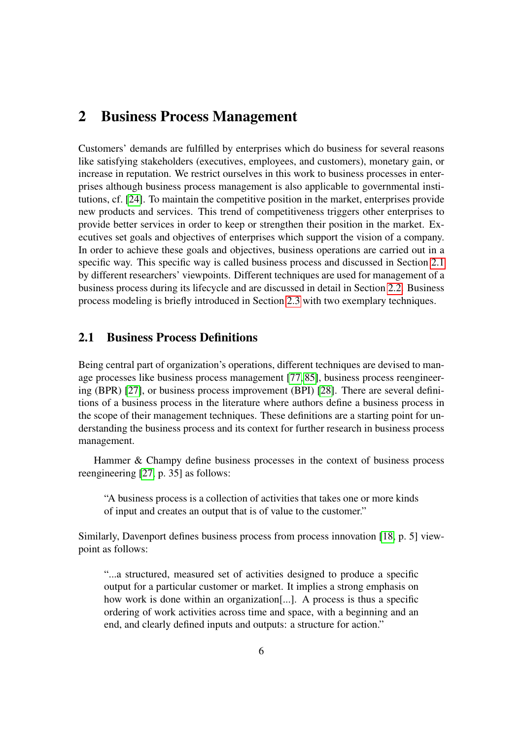## <span id="page-9-0"></span>2 Business Process Management

Customers' demands are fulfilled by enterprises which do business for several reasons like satisfying stakeholders (executives, employees, and customers), monetary gain, or increase in reputation. We restrict ourselves in this work to business processes in enterprises although business process management is also applicable to governmental institutions, cf. [\[24\]](#page-32-0). To maintain the competitive position in the market, enterprises provide new products and services. This trend of competitiveness triggers other enterprises to provide better services in order to keep or strengthen their position in the market. Executives set goals and objectives of enterprises which support the vision of a company. In order to achieve these goals and objectives, business operations are carried out in a specific way. This specific way is called business process and discussed in Section [2.1](#page-9-1) by different researchers' viewpoints. Different techniques are used for management of a business process during its lifecycle and are discussed in detail in Section [2.2.](#page-12-0) Business process modeling is briefly introduced in Section [2.3](#page-16-0) with two exemplary techniques.

## <span id="page-9-1"></span>2.1 Business Process Definitions

Being central part of organization's operations, different techniques are devised to manage processes like business process management [\[77,](#page-37-2) [85\]](#page-37-3), business process reengineering (BPR) [\[27\]](#page-32-1), or business process improvement (BPI) [\[28\]](#page-32-2). There are several definitions of a business process in the literature where authors define a business process in the scope of their management techniques. These definitions are a starting point for understanding the business process and its context for further research in business process management.

Hammer & Champy define business processes in the context of business process reengineering [\[27,](#page-32-1) p. 35] as follows:

"A business process is a collection of activities that takes one or more kinds of input and creates an output that is of value to the customer."

Similarly, Davenport defines business process from process innovation [\[18,](#page-31-1) p. 5] viewpoint as follows:

"...a structured, measured set of activities designed to produce a specific output for a particular customer or market. It implies a strong emphasis on how work is done within an organization[...]. A process is thus a specific ordering of work activities across time and space, with a beginning and an end, and clearly defined inputs and outputs: a structure for action."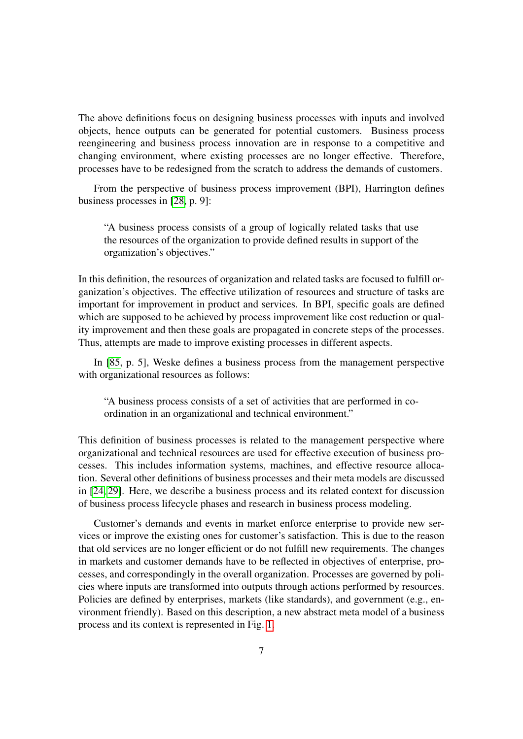The above definitions focus on designing business processes with inputs and involved objects, hence outputs can be generated for potential customers. Business process reengineering and business process innovation are in response to a competitive and changing environment, where existing processes are no longer effective. Therefore, processes have to be redesigned from the scratch to address the demands of customers.

From the perspective of business process improvement (BPI), Harrington defines business processes in [\[28,](#page-32-2) p. 9]:

"A business process consists of a group of logically related tasks that use the resources of the organization to provide defined results in support of the organization's objectives."

In this definition, the resources of organization and related tasks are focused to fulfill organization's objectives. The effective utilization of resources and structure of tasks are important for improvement in product and services. In BPI, specific goals are defined which are supposed to be achieved by process improvement like cost reduction or quality improvement and then these goals are propagated in concrete steps of the processes. Thus, attempts are made to improve existing processes in different aspects.

In [\[85,](#page-37-3) p. 5], Weske defines a business process from the management perspective with organizational resources as follows:

"A business process consists of a set of activities that are performed in coordination in an organizational and technical environment."

This definition of business processes is related to the management perspective where organizational and technical resources are used for effective execution of business processes. This includes information systems, machines, and effective resource allocation. Several other definitions of business processes and their meta models are discussed in [\[24,](#page-32-0) [29\]](#page-32-3). Here, we describe a business process and its related context for discussion of business process lifecycle phases and research in business process modeling.

Customer's demands and events in market enforce enterprise to provide new services or improve the existing ones for customer's satisfaction. This is due to the reason that old services are no longer efficient or do not fulfill new requirements. The changes in markets and customer demands have to be reflected in objectives of enterprise, processes, and correspondingly in the overall organization. Processes are governed by policies where inputs are transformed into outputs through actions performed by resources. Policies are defined by enterprises, markets (like standards), and government (e.g., environment friendly). Based on this description, a new abstract meta model of a business process and its context is represented in Fig. [1.](#page-11-0)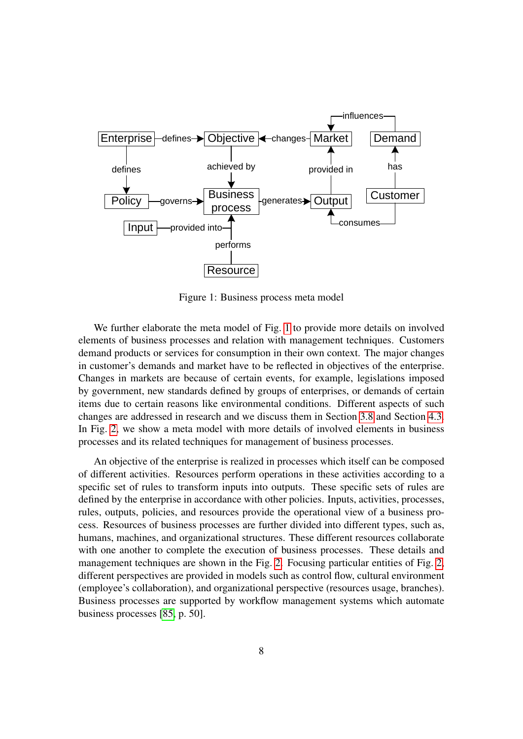

<span id="page-11-0"></span>Figure 1: Business process meta model

We further elaborate the meta model of Fig. [1](#page-11-0) to provide more details on involved elements of business processes and relation with management techniques. Customers demand products or services for consumption in their own context. The major changes in customer's demands and market have to be reflected in objectives of the enterprise. Changes in markets are because of certain events, for example, legislations imposed by government, new standards defined by groups of enterprises, or demands of certain items due to certain reasons like environmental conditions. Different aspects of such changes are addressed in research and we discuss them in Section [3.8](#page-22-1) and Section [4.3.](#page-27-0) In Fig. [2,](#page-12-1) we show a meta model with more details of involved elements in business processes and its related techniques for management of business processes.

An objective of the enterprise is realized in processes which itself can be composed of different activities. Resources perform operations in these activities according to a specific set of rules to transform inputs into outputs. These specific sets of rules are defined by the enterprise in accordance with other policies. Inputs, activities, processes, rules, outputs, policies, and resources provide the operational view of a business process. Resources of business processes are further divided into different types, such as, humans, machines, and organizational structures. These different resources collaborate with one another to complete the execution of business processes. These details and management techniques are shown in the Fig. [2.](#page-12-1) Focusing particular entities of Fig. [2,](#page-12-1) different perspectives are provided in models such as control flow, cultural environment (employee's collaboration), and organizational perspective (resources usage, branches). Business processes are supported by workflow management systems which automate business processes [\[85,](#page-37-3) p. 50].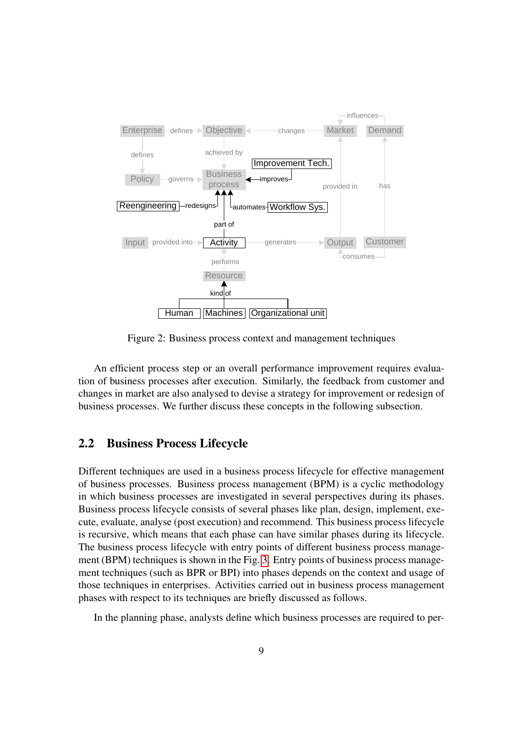

<span id="page-12-1"></span>Figure 2: Business process context and management techniques

An efficient process step or an overall performance improvement requires evaluation of business processes after execution. Similarly, the feedback from customer and changes in market are also analysed to devise a strategy for improvement or redesign of business processes. We further discuss these concepts in the following subsection.

#### <span id="page-12-0"></span>2.2 Business Process Lifecycle

Different techniques are used in a business process lifecycle for effective management of business processes. Business process management (BPM) is a cyclic methodology in which business processes are investigated in several perspectives during its phases. Business process lifecycle consists of several phases like plan, design, implement, execute, evaluate, analyse (post execution) and recommend. This business process lifecycle is recursive, which means that each phase can have similar phases during its lifecycle. The business process lifecycle with entry points of different business process management (BPM) techniques is shown in the Fig. [3.](#page-13-0) Entry points of business process management techniques (such as BPR or BPI) into phases depends on the context and usage of those techniques in enterprises. Activities carried out in business process management phases with respect to its techniques are briefly discussed as follows.

In the planning phase, analysts define which business processes are required to per-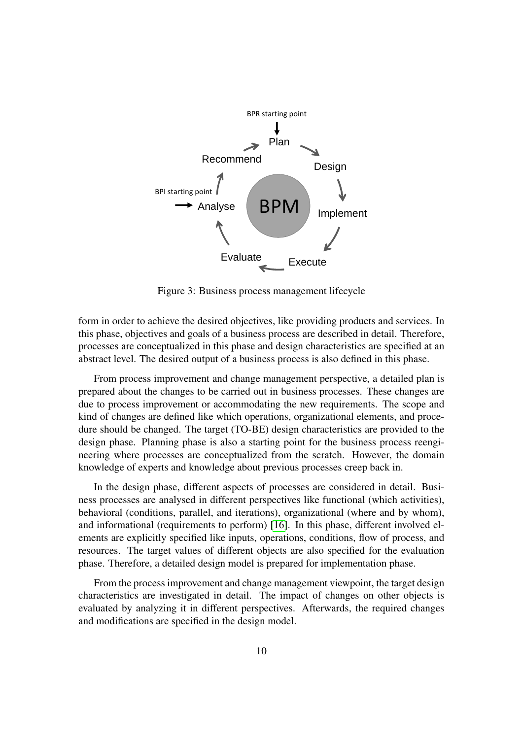

<span id="page-13-0"></span>Figure 3: Business process management lifecycle

form in order to achieve the desired objectives, like providing products and services. In this phase, objectives and goals of a business process are described in detail. Therefore, processes are conceptualized in this phase and design characteristics are specified at an abstract level. The desired output of a business process is also defined in this phase.

From process improvement and change management perspective, a detailed plan is prepared about the changes to be carried out in business processes. These changes are due to process improvement or accommodating the new requirements. The scope and kind of changes are defined like which operations, organizational elements, and procedure should be changed. The target (TO-BE) design characteristics are provided to the design phase. Planning phase is also a starting point for the business process reengineering where processes are conceptualized from the scratch. However, the domain knowledge of experts and knowledge about previous processes creep back in.

In the design phase, different aspects of processes are considered in detail. Business processes are analysed in different perspectives like functional (which activities), behavioral (conditions, parallel, and iterations), organizational (where and by whom), and informational (requirements to perform) [\[16\]](#page-31-0). In this phase, different involved elements are explicitly specified like inputs, operations, conditions, flow of process, and resources. The target values of different objects are also specified for the evaluation phase. Therefore, a detailed design model is prepared for implementation phase.

From the process improvement and change management viewpoint, the target design characteristics are investigated in detail. The impact of changes on other objects is evaluated by analyzing it in different perspectives. Afterwards, the required changes and modifications are specified in the design model.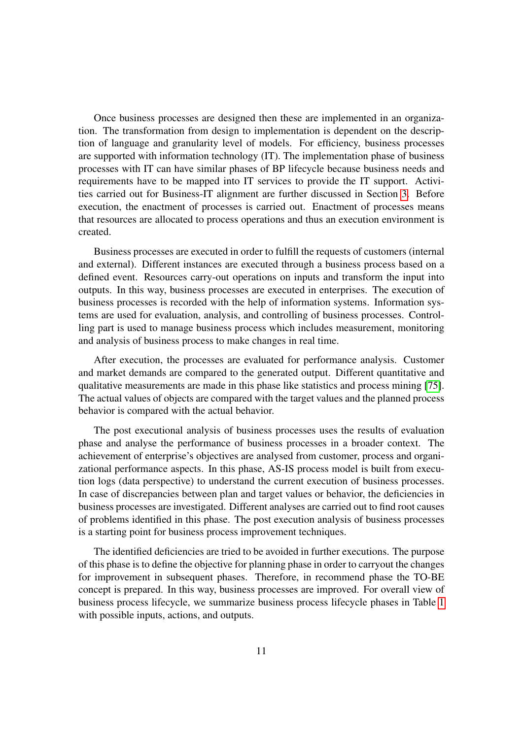Once business processes are designed then these are implemented in an organization. The transformation from design to implementation is dependent on the description of language and granularity level of models. For efficiency, business processes are supported with information technology (IT). The implementation phase of business processes with IT can have similar phases of BP lifecycle because business needs and requirements have to be mapped into IT services to provide the IT support. Activities carried out for Business-IT alignment are further discussed in Section [3.](#page-17-0) Before execution, the enactment of processes is carried out. Enactment of processes means that resources are allocated to process operations and thus an execution environment is created.

Business processes are executed in order to fulfill the requests of customers (internal and external). Different instances are executed through a business process based on a defined event. Resources carry-out operations on inputs and transform the input into outputs. In this way, business processes are executed in enterprises. The execution of business processes is recorded with the help of information systems. Information systems are used for evaluation, analysis, and controlling of business processes. Controlling part is used to manage business process which includes measurement, monitoring and analysis of business process to make changes in real time.

After execution, the processes are evaluated for performance analysis. Customer and market demands are compared to the generated output. Different quantitative and qualitative measurements are made in this phase like statistics and process mining [\[75\]](#page-37-4). The actual values of objects are compared with the target values and the planned process behavior is compared with the actual behavior.

The post executional analysis of business processes uses the results of evaluation phase and analyse the performance of business processes in a broader context. The achievement of enterprise's objectives are analysed from customer, process and organizational performance aspects. In this phase, AS-IS process model is built from execution logs (data perspective) to understand the current execution of business processes. In case of discrepancies between plan and target values or behavior, the deficiencies in business processes are investigated. Different analyses are carried out to find root causes of problems identified in this phase. The post execution analysis of business processes is a starting point for business process improvement techniques.

The identified deficiencies are tried to be avoided in further executions. The purpose of this phase is to define the objective for planning phase in order to carryout the changes for improvement in subsequent phases. Therefore, in recommend phase the TO-BE concept is prepared. In this way, business processes are improved. For overall view of business process lifecycle, we summarize business process lifecycle phases in Table [1](#page-15-0) with possible inputs, actions, and outputs.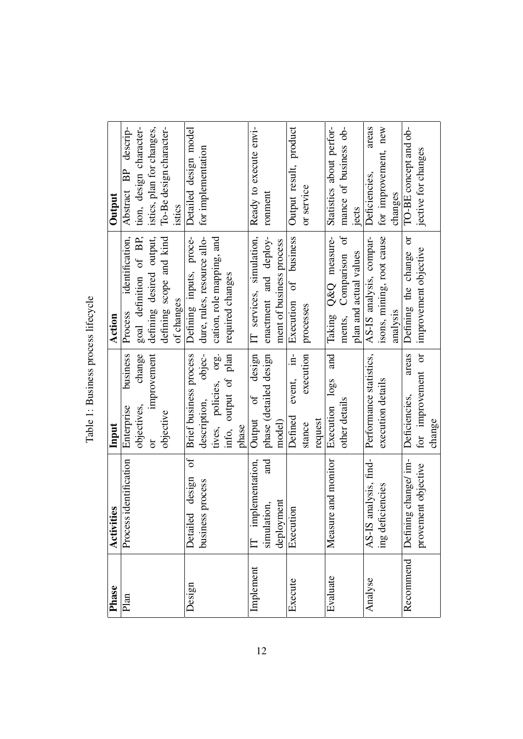<span id="page-15-0"></span>

| Phase     | Activities                     | Input                                | Action                      | Output                            |
|-----------|--------------------------------|--------------------------------------|-----------------------------|-----------------------------------|
| Plan      | Process identification         | business<br>Enterprise               | identification,<br>Process  | descrip-<br><b>BP</b><br>Abstract |
|           |                                | change<br>objectives,                | goal definition of BP,      | tion, design character-           |
|           |                                | improvement<br>ð                     | defining desired output,    | istics, plan for changes,         |
|           |                                | objective                            | defining scope and kind     | To-Be design character-           |
|           |                                |                                      | of changes                  | istics                            |
| Design    | ð<br>design<br>Detailed        | Brief business process               | Defining inputs, proce-     | Detailed design model             |
|           | business process               | objec-<br>description,               | dure, rules, resource allo- | for implementation                |
|           |                                | tives, policies, org.                | cation, role mapping, and   |                                   |
|           |                                | info, output of plan                 | required changes            |                                   |
|           |                                | phase                                |                             |                                   |
| Implement | implementation,                | design<br>of<br>Output               | IT services, simulation,    | Ready to execute envi-            |
|           | and<br>ion,<br>simulati        | phase (detailed design               | enactment and deploy-       | ronment                           |
|           | nent<br>deployn                | model)                               | ment of business process    |                                   |
| Execute   | Execution                      | $\dot{a}$<br>event,<br>Defined       | of business<br>Execution    | Output result, product            |
|           |                                | execution<br>stance                  | processes                   | or service                        |
|           |                                | request                              |                             |                                   |
| Evaluate  | Measure and monitor            | and<br>log <sub>o</sub><br>Execution | Taking Q&Q measure-         | Statistics about perfor-          |
|           |                                | other details                        | ð<br>ments, Comparison      | mance of business ob-             |
|           |                                |                                      | plan and actual values      | iects                             |
| Analyse   | analysis, find-<br>$AS$ - $IS$ | Performance statistics,              | AS-IS analysis, compar-     | areas<br>Deficiencies,            |
|           | ing deficiencies               | execution details                    | isons, mining, root cause   | for improvement, new              |
|           |                                |                                      | analysis                    | changes                           |
| Recommend | Defining change/im-            | areas<br>Deficiencies,               | ð<br>Defining the change    | TO-BE concept and ob-             |
|           | ent objective<br>provem        | for improvement or                   | improvement objective       | jective for changes               |
|           |                                | change                               |                             |                                   |

Table 1: Business process lifecycle Table 1: Business process lifecycle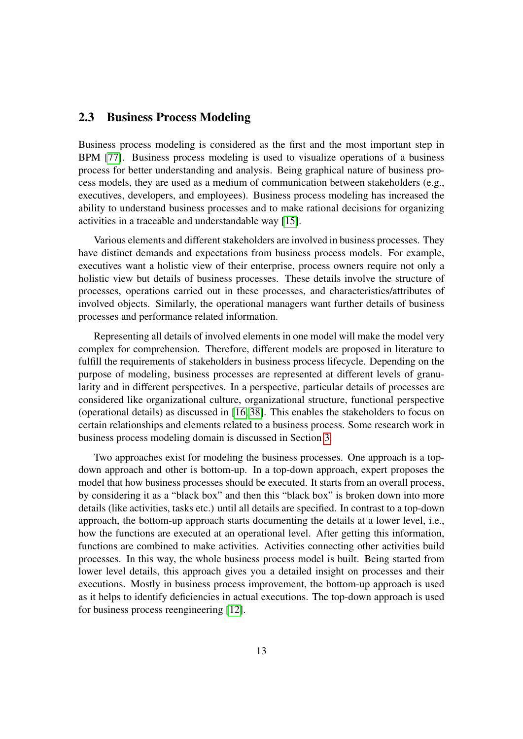#### <span id="page-16-0"></span>2.3 Business Process Modeling

Business process modeling is considered as the first and the most important step in BPM [\[77\]](#page-37-2). Business process modeling is used to visualize operations of a business process for better understanding and analysis. Being graphical nature of business process models, they are used as a medium of communication between stakeholders (e.g., executives, developers, and employees). Business process modeling has increased the ability to understand business processes and to make rational decisions for organizing activities in a traceable and understandable way [\[15\]](#page-31-2).

Various elements and different stakeholders are involved in business processes. They have distinct demands and expectations from business process models. For example, executives want a holistic view of their enterprise, process owners require not only a holistic view but details of business processes. These details involve the structure of processes, operations carried out in these processes, and characteristics/attributes of involved objects. Similarly, the operational managers want further details of business processes and performance related information.

Representing all details of involved elements in one model will make the model very complex for comprehension. Therefore, different models are proposed in literature to fulfill the requirements of stakeholders in business process lifecycle. Depending on the purpose of modeling, business processes are represented at different levels of granularity and in different perspectives. In a perspective, particular details of processes are considered like organizational culture, organizational structure, functional perspective (operational details) as discussed in [\[16,](#page-31-0) [38\]](#page-33-0). This enables the stakeholders to focus on certain relationships and elements related to a business process. Some research work in business process modeling domain is discussed in Section [3.](#page-17-0)

Two approaches exist for modeling the business processes. One approach is a topdown approach and other is bottom-up. In a top-down approach, expert proposes the model that how business processes should be executed. It starts from an overall process, by considering it as a "black box" and then this "black box" is broken down into more details (like activities, tasks etc.) until all details are specified. In contrast to a top-down approach, the bottom-up approach starts documenting the details at a lower level, i.e., how the functions are executed at an operational level. After getting this information, functions are combined to make activities. Activities connecting other activities build processes. In this way, the whole business process model is built. Being started from lower level details, this approach gives you a detailed insight on processes and their executions. Mostly in business process improvement, the bottom-up approach is used as it helps to identify deficiencies in actual executions. The top-down approach is used for business process reengineering [\[12\]](#page-31-3).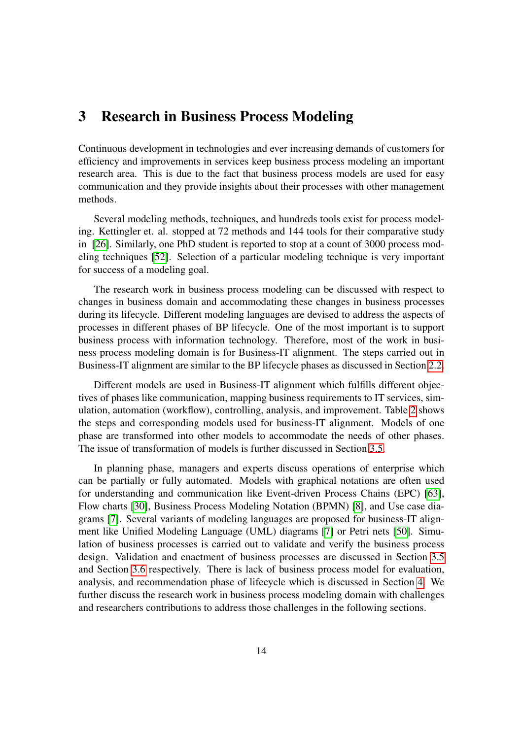# <span id="page-17-0"></span>3 Research in Business Process Modeling

Continuous development in technologies and ever increasing demands of customers for efficiency and improvements in services keep business process modeling an important research area. This is due to the fact that business process models are used for easy communication and they provide insights about their processes with other management methods.

Several modeling methods, techniques, and hundreds tools exist for process modeling. Kettingler et. al. stopped at 72 methods and 144 tools for their comparative study in [\[26\]](#page-32-4). Similarly, one PhD student is reported to stop at a count of 3000 process modeling techniques [\[52\]](#page-34-0). Selection of a particular modeling technique is very important for success of a modeling goal.

The research work in business process modeling can be discussed with respect to changes in business domain and accommodating these changes in business processes during its lifecycle. Different modeling languages are devised to address the aspects of processes in different phases of BP lifecycle. One of the most important is to support business process with information technology. Therefore, most of the work in business process modeling domain is for Business-IT alignment. The steps carried out in Business-IT alignment are similar to the BP lifecycle phases as discussed in Section [2.2.](#page-12-0)

Different models are used in Business-IT alignment which fulfills different objectives of phases like communication, mapping business requirements to IT services, simulation, automation (workflow), controlling, analysis, and improvement. Table [2](#page-18-1) shows the steps and corresponding models used for business-IT alignment. Models of one phase are transformed into other models to accommodate the needs of other phases. The issue of transformation of models is further discussed in Section [3.5.](#page-20-1)

In planning phase, managers and experts discuss operations of enterprise which can be partially or fully automated. Models with graphical notations are often used for understanding and communication like Event-driven Process Chains (EPC) [\[63\]](#page-35-0), Flow charts [\[30\]](#page-32-5), Business Process Modeling Notation (BPMN) [\[8\]](#page-31-4), and Use case diagrams [\[7\]](#page-31-5). Several variants of modeling languages are proposed for business-IT alignment like Unified Modeling Language (UML) diagrams [\[7\]](#page-31-5) or Petri nets [\[50\]](#page-34-1). Simulation of business processes is carried out to validate and verify the business process design. Validation and enactment of business processes are discussed in Section [3.5](#page-20-1) and Section [3.6](#page-21-0) respectively. There is lack of business process model for evaluation, analysis, and recommendation phase of lifecycle which is discussed in Section [4.](#page-26-0) We further discuss the research work in business process modeling domain with challenges and researchers contributions to address those challenges in the following sections.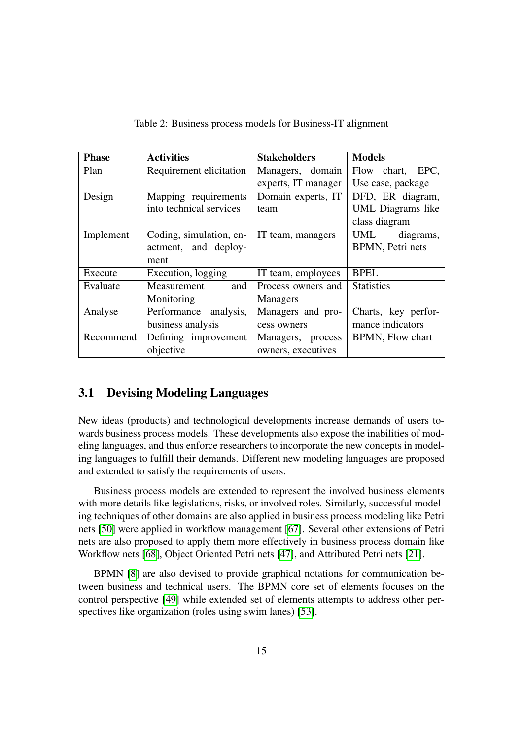| <b>Phase</b> | <b>Activities</b>       | <b>Stakeholders</b> | <b>Models</b>       |
|--------------|-------------------------|---------------------|---------------------|
| Plan         | Requirement elicitation | Managers, domain    | Flow chart, EPC,    |
|              |                         | experts, IT manager | Use case, package   |
| Design       | Mapping requirements    | Domain experts, IT  | DFD, ER diagram,    |
|              | into technical services | team                | UML Diagrams like   |
|              |                         |                     | class diagram       |
| Implement    | Coding, simulation, en- | IT team, managers   | UML<br>diagrams,    |
|              | actment, and deploy-    |                     | BPMN, Petri nets    |
|              | ment                    |                     |                     |
| Execute      | Execution, logging      | IT team, employees  | <b>BPEL</b>         |
| Evaluate     | and<br>Measurement      | Process owners and  | <b>Statistics</b>   |
|              | Monitoring              | <b>Managers</b>     |                     |
| Analyse      | Performance analysis,   | Managers and pro-   | Charts, key perfor- |
|              | business analysis       | cess owners         | mance indicators    |
| Recommend    | Defining improvement    | Managers, process   | BPMN, Flow chart    |
|              | objective               | owners, executives  |                     |

<span id="page-18-1"></span>Table 2: Business process models for Business-IT alignment

## <span id="page-18-0"></span>3.1 Devising Modeling Languages

New ideas (products) and technological developments increase demands of users towards business process models. These developments also expose the inabilities of modeling languages, and thus enforce researchers to incorporate the new concepts in modeling languages to fulfill their demands. Different new modeling languages are proposed and extended to satisfy the requirements of users.

Business process models are extended to represent the involved business elements with more details like legislations, risks, or involved roles. Similarly, successful modeling techniques of other domains are also applied in business process modeling like Petri nets [\[50\]](#page-34-1) were applied in workflow management [\[67\]](#page-36-0). Several other extensions of Petri nets are also proposed to apply them more effectively in business process domain like Workflow nets [\[68\]](#page-36-1), Object Oriented Petri nets [\[47\]](#page-34-2), and Attributed Petri nets [\[21\]](#page-32-6).

BPMN [\[8\]](#page-31-4) are also devised to provide graphical notations for communication between business and technical users. The BPMN core set of elements focuses on the control perspective [\[49\]](#page-34-3) while extended set of elements attempts to address other perspectives like organization (roles using swim lanes) [\[53\]](#page-34-4).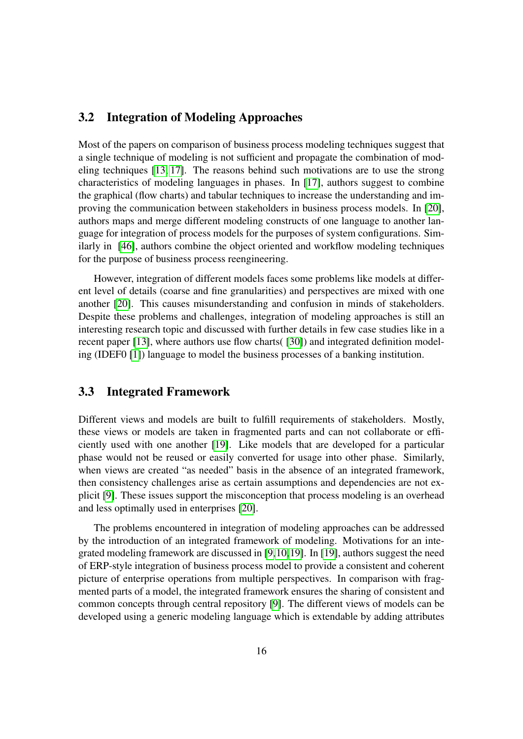### <span id="page-19-0"></span>3.2 Integration of Modeling Approaches

Most of the papers on comparison of business process modeling techniques suggest that a single technique of modeling is not sufficient and propagate the combination of modeling techniques [\[13,](#page-31-6) [17\]](#page-31-7). The reasons behind such motivations are to use the strong characteristics of modeling languages in phases. In [\[17\]](#page-31-7), authors suggest to combine the graphical (flow charts) and tabular techniques to increase the understanding and improving the communication between stakeholders in business process models. In [\[20\]](#page-32-7), authors maps and merge different modeling constructs of one language to another language for integration of process models for the purposes of system configurations. Similarly in [\[46\]](#page-34-5), authors combine the object oriented and workflow modeling techniques for the purpose of business process reengineering.

However, integration of different models faces some problems like models at different level of details (coarse and fine granularities) and perspectives are mixed with one another [\[20\]](#page-32-7). This causes misunderstanding and confusion in minds of stakeholders. Despite these problems and challenges, integration of modeling approaches is still an interesting research topic and discussed with further details in few case studies like in a recent paper [\[13\]](#page-31-6), where authors use flow charts( [\[30\]](#page-32-5)) and integrated definition modeling (IDEF0 [\[1\]](#page-30-1)) language to model the business processes of a banking institution.

#### <span id="page-19-1"></span>3.3 Integrated Framework

Different views and models are built to fulfill requirements of stakeholders. Mostly, these views or models are taken in fragmented parts and can not collaborate or efficiently used with one another [\[19\]](#page-31-8). Like models that are developed for a particular phase would not be reused or easily converted for usage into other phase. Similarly, when views are created "as needed" basis in the absence of an integrated framework, then consistency challenges arise as certain assumptions and dependencies are not explicit [\[9\]](#page-31-9). These issues support the misconception that process modeling is an overhead and less optimally used in enterprises [\[20\]](#page-32-7).

The problems encountered in integration of modeling approaches can be addressed by the introduction of an integrated framework of modeling. Motivations for an integrated modeling framework are discussed in [\[9,](#page-31-9)[10,](#page-31-10)[19\]](#page-31-8). In [\[19\]](#page-31-8), authors suggest the need of ERP-style integration of business process model to provide a consistent and coherent picture of enterprise operations from multiple perspectives. In comparison with fragmented parts of a model, the integrated framework ensures the sharing of consistent and common concepts through central repository [\[9\]](#page-31-9). The different views of models can be developed using a generic modeling language which is extendable by adding attributes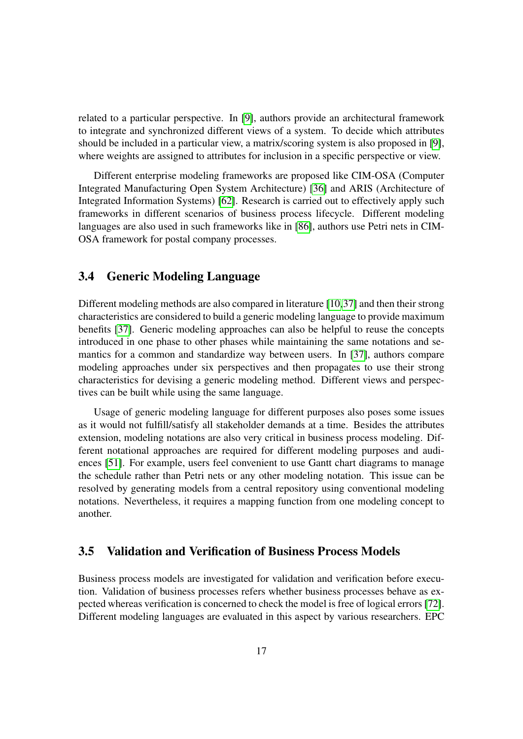related to a particular perspective. In [\[9\]](#page-31-9), authors provide an architectural framework to integrate and synchronized different views of a system. To decide which attributes should be included in a particular view, a matrix/scoring system is also proposed in [\[9\]](#page-31-9), where weights are assigned to attributes for inclusion in a specific perspective or view.

Different enterprise modeling frameworks are proposed like CIM-OSA (Computer Integrated Manufacturing Open System Architecture) [\[36\]](#page-33-1) and ARIS (Architecture of Integrated Information Systems) [\[62\]](#page-35-1). Research is carried out to effectively apply such frameworks in different scenarios of business process lifecycle. Different modeling languages are also used in such frameworks like in [\[86\]](#page-37-5), authors use Petri nets in CIM-OSA framework for postal company processes.

### <span id="page-20-0"></span>3.4 Generic Modeling Language

Different modeling methods are also compared in literature [\[10,](#page-31-10)[37\]](#page-33-2) and then their strong characteristics are considered to build a generic modeling language to provide maximum benefits [\[37\]](#page-33-2). Generic modeling approaches can also be helpful to reuse the concepts introduced in one phase to other phases while maintaining the same notations and semantics for a common and standardize way between users. In [\[37\]](#page-33-2), authors compare modeling approaches under six perspectives and then propagates to use their strong characteristics for devising a generic modeling method. Different views and perspectives can be built while using the same language.

Usage of generic modeling language for different purposes also poses some issues as it would not fulfill/satisfy all stakeholder demands at a time. Besides the attributes extension, modeling notations are also very critical in business process modeling. Different notational approaches are required for different modeling purposes and audiences [\[51\]](#page-34-6). For example, users feel convenient to use Gantt chart diagrams to manage the schedule rather than Petri nets or any other modeling notation. This issue can be resolved by generating models from a central repository using conventional modeling notations. Nevertheless, it requires a mapping function from one modeling concept to another.

### <span id="page-20-1"></span>3.5 Validation and Verification of Business Process Models

Business process models are investigated for validation and verification before execution. Validation of business processes refers whether business processes behave as expected whereas verification is concerned to check the model is free of logical errors [\[72\]](#page-36-2). Different modeling languages are evaluated in this aspect by various researchers. EPC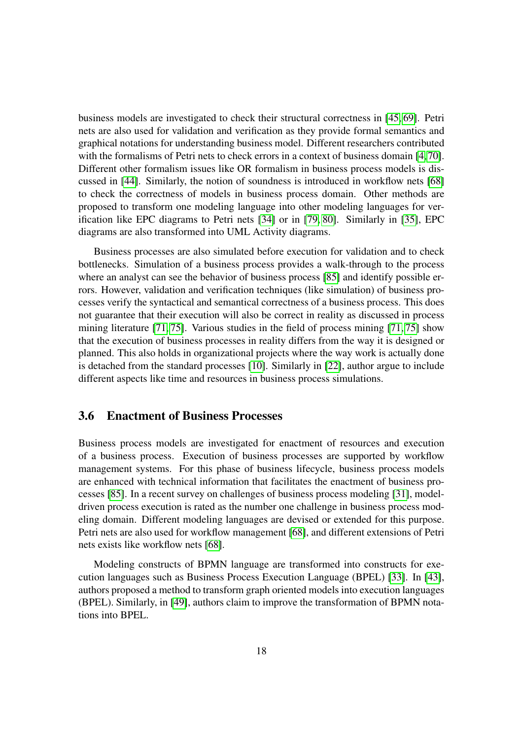business models are investigated to check their structural correctness in [\[45,](#page-34-7) [69\]](#page-36-3). Petri nets are also used for validation and verification as they provide formal semantics and graphical notations for understanding business model. Different researchers contributed with the formalisms of Petri nets to check errors in a context of business domain [\[4,](#page-30-2)[70\]](#page-36-4). Different other formalism issues like OR formalism in business process models is discussed in [\[44\]](#page-34-8). Similarly, the notion of soundness is introduced in workflow nets [\[68\]](#page-36-1) to check the correctness of models in business process domain. Other methods are proposed to transform one modeling language into other modeling languages for verification like EPC diagrams to Petri nets [\[34\]](#page-33-3) or in [\[79,](#page-37-6) [80\]](#page-37-7). Similarly in [\[35\]](#page-33-4), EPC diagrams are also transformed into UML Activity diagrams.

Business processes are also simulated before execution for validation and to check bottlenecks. Simulation of a business process provides a walk-through to the process where an analyst can see the behavior of business process [\[85\]](#page-37-3) and identify possible errors. However, validation and verification techniques (like simulation) of business processes verify the syntactical and semantical correctness of a business process. This does not guarantee that their execution will also be correct in reality as discussed in process mining literature [\[71,](#page-36-5) [75\]](#page-37-4). Various studies in the field of process mining [\[71,](#page-36-5) [75\]](#page-37-4) show that the execution of business processes in reality differs from the way it is designed or planned. This also holds in organizational projects where the way work is actually done is detached from the standard processes [\[10\]](#page-31-10). Similarly in [\[22\]](#page-32-8), author argue to include different aspects like time and resources in business process simulations.

#### <span id="page-21-0"></span>3.6 Enactment of Business Processes

Business process models are investigated for enactment of resources and execution of a business process. Execution of business processes are supported by workflow management systems. For this phase of business lifecycle, business process models are enhanced with technical information that facilitates the enactment of business processes [\[85\]](#page-37-3). In a recent survey on challenges of business process modeling [\[31\]](#page-32-9), modeldriven process execution is rated as the number one challenge in business process modeling domain. Different modeling languages are devised or extended for this purpose. Petri nets are also used for workflow management [\[68\]](#page-36-1), and different extensions of Petri nets exists like workflow nets [\[68\]](#page-36-1).

Modeling constructs of BPMN language are transformed into constructs for execution languages such as Business Process Execution Language (BPEL) [\[33\]](#page-33-5). In [\[43\]](#page-34-9), authors proposed a method to transform graph oriented models into execution languages (BPEL). Similarly, in [\[49\]](#page-34-3), authors claim to improve the transformation of BPMN notations into BPEL.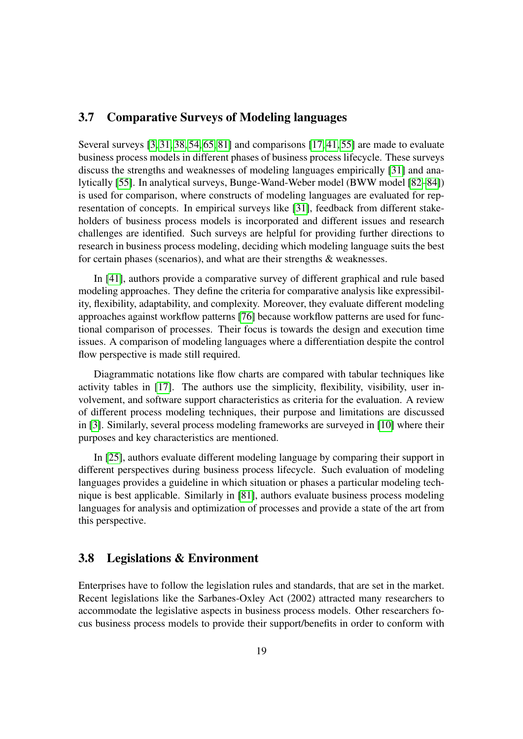### <span id="page-22-0"></span>3.7 Comparative Surveys of Modeling languages

Several surveys [\[3,](#page-30-3) [31,](#page-32-9) [38,](#page-33-0) [54,](#page-34-10) [65,](#page-36-6) [81\]](#page-37-1) and comparisons [\[17,](#page-31-7) [41,](#page-33-6) [55\]](#page-35-2) are made to evaluate business process models in different phases of business process lifecycle. These surveys discuss the strengths and weaknesses of modeling languages empirically [\[31\]](#page-32-9) and analytically [\[55\]](#page-35-2). In analytical surveys, Bunge-Wand-Weber model (BWW model [\[82](#page-37-8)[–84\]](#page-37-9)) is used for comparison, where constructs of modeling languages are evaluated for representation of concepts. In empirical surveys like [\[31\]](#page-32-9), feedback from different stakeholders of business process models is incorporated and different issues and research challenges are identified. Such surveys are helpful for providing further directions to research in business process modeling, deciding which modeling language suits the best for certain phases (scenarios), and what are their strengths & weaknesses.

In [\[41\]](#page-33-6), authors provide a comparative survey of different graphical and rule based modeling approaches. They define the criteria for comparative analysis like expressibility, flexibility, adaptability, and complexity. Moreover, they evaluate different modeling approaches against workflow patterns [\[76\]](#page-37-10) because workflow patterns are used for functional comparison of processes. Their focus is towards the design and execution time issues. A comparison of modeling languages where a differentiation despite the control flow perspective is made still required.

Diagrammatic notations like flow charts are compared with tabular techniques like activity tables in [\[17\]](#page-31-7). The authors use the simplicity, flexibility, visibility, user involvement, and software support characteristics as criteria for the evaluation. A review of different process modeling techniques, their purpose and limitations are discussed in [\[3\]](#page-30-3). Similarly, several process modeling frameworks are surveyed in [\[10\]](#page-31-10) where their purposes and key characteristics are mentioned.

In [\[25\]](#page-32-10), authors evaluate different modeling language by comparing their support in different perspectives during business process lifecycle. Such evaluation of modeling languages provides a guideline in which situation or phases a particular modeling technique is best applicable. Similarly in [\[81\]](#page-37-1), authors evaluate business process modeling languages for analysis and optimization of processes and provide a state of the art from this perspective.

#### <span id="page-22-1"></span>3.8 Legislations & Environment

Enterprises have to follow the legislation rules and standards, that are set in the market. Recent legislations like the Sarbanes-Oxley Act (2002) attracted many researchers to accommodate the legislative aspects in business process models. Other researchers focus business process models to provide their support/benefits in order to conform with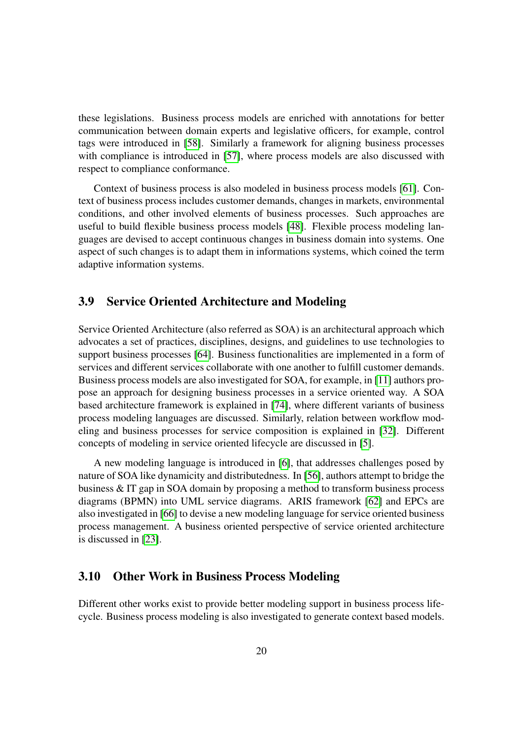these legislations. Business process models are enriched with annotations for better communication between domain experts and legislative officers, for example, control tags were introduced in [\[58\]](#page-35-3). Similarly a framework for aligning business processes with compliance is introduced in [\[57\]](#page-35-4), where process models are also discussed with respect to compliance conformance.

Context of business process is also modeled in business process models [\[61\]](#page-35-5). Context of business process includes customer demands, changes in markets, environmental conditions, and other involved elements of business processes. Such approaches are useful to build flexible business process models [\[48\]](#page-34-11). Flexible process modeling languages are devised to accept continuous changes in business domain into systems. One aspect of such changes is to adapt them in informations systems, which coined the term adaptive information systems.

#### <span id="page-23-0"></span>3.9 Service Oriented Architecture and Modeling

Service Oriented Architecture (also referred as SOA) is an architectural approach which advocates a set of practices, disciplines, designs, and guidelines to use technologies to support business processes [\[64\]](#page-36-7). Business functionalities are implemented in a form of services and different services collaborate with one another to fulfill customer demands. Business process models are also investigated for SOA, for example, in [\[11\]](#page-31-11) authors propose an approach for designing business processes in a service oriented way. A SOA based architecture framework is explained in [\[74\]](#page-36-8), where different variants of business process modeling languages are discussed. Similarly, relation between workflow modeling and business processes for service composition is explained in [\[32\]](#page-33-7). Different concepts of modeling in service oriented lifecycle are discussed in [\[5\]](#page-30-4).

A new modeling language is introduced in [\[6\]](#page-31-12), that addresses challenges posed by nature of SOA like dynamicity and distributedness. In [\[56\]](#page-35-6), authors attempt to bridge the business & IT gap in SOA domain by proposing a method to transform business process diagrams (BPMN) into UML service diagrams. ARIS framework [\[62\]](#page-35-1) and EPCs are also investigated in [\[66\]](#page-36-9) to devise a new modeling language for service oriented business process management. A business oriented perspective of service oriented architecture is discussed in [\[23\]](#page-32-11).

#### <span id="page-23-1"></span>3.10 Other Work in Business Process Modeling

Different other works exist to provide better modeling support in business process lifecycle. Business process modeling is also investigated to generate context based models.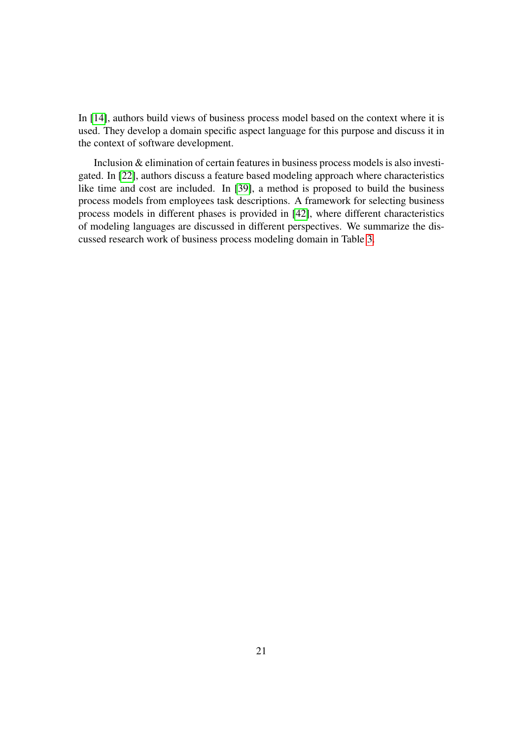In [\[14\]](#page-31-13), authors build views of business process model based on the context where it is used. They develop a domain specific aspect language for this purpose and discuss it in the context of software development.

Inclusion & elimination of certain features in business process models is also investigated. In [\[22\]](#page-32-8), authors discuss a feature based modeling approach where characteristics like time and cost are included. In [\[39\]](#page-33-8), a method is proposed to build the business process models from employees task descriptions. A framework for selecting business process models in different phases is provided in [\[42\]](#page-34-12), where different characteristics of modeling languages are discussed in different perspectives. We summarize the discussed research work of business process modeling domain in Table [3.](#page-25-0)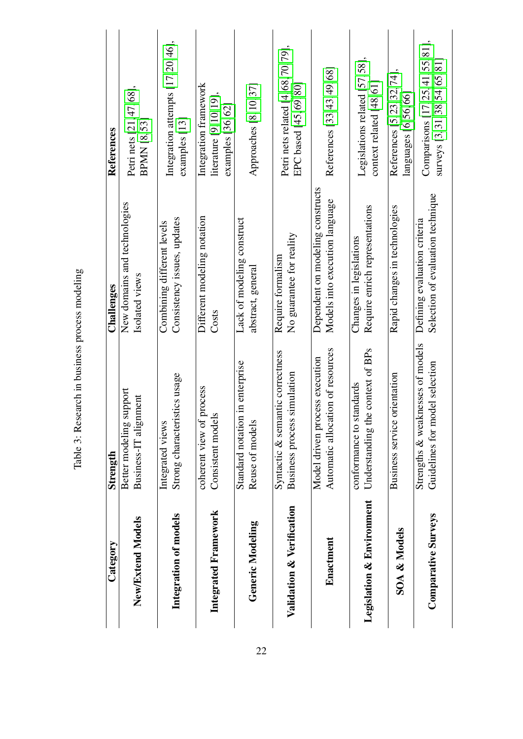<span id="page-25-0"></span>

| Category                             | Strength                                                                | Challenges                                                         | References                                                                 |
|--------------------------------------|-------------------------------------------------------------------------|--------------------------------------------------------------------|----------------------------------------------------------------------------|
| New/Extend Models                    | support<br>Business-IT alignment<br>Better modeling                     | New domains and technologies<br>Isolated views                     | Petri nets [21, 47, 68],<br><b>BPMN [8,53]</b>                             |
| Integration of models                | Strong characteristics usage<br>Integrated views                        | Consistency issues, updates<br>Combining different levels          | Integration attempts $[17, 20, 46]$ ,<br>examples [13]                     |
| Integrated Framework                 | i process<br>Consistent models<br>coherent view of                      | Different modeling notation<br>Costs                               | Integration framework<br>literature $[9, 10, 19]$ ,<br>examples $[36, 62]$ |
| Generic Modeling                     | Standard notation in enterprise<br>Reuse of models                      | Lack of modeling construct<br>abstract, general                    | Approaches [8, 10, 37]                                                     |
| Validation & Verification            | Syntactic & semantic correctness<br>Business process simulation         | No guarantee for reality<br>Require formalism                      | Petri nets related $[4, 68, 70, 79]$ ,<br>EPC based $[45, 69, 80]$         |
| Enactment                            | Automatic allocation of resources<br>Model driven process execution     | Dependent on modeling constructs<br>Models into execution language | References [33, 43, 49, 68]                                                |
| <b>Legislation &amp; Environment</b> | he context of BPs<br>standards<br>Understanding th<br>conformance to    | Require enrich representations<br>Changes in legislations          | Legislations related [57,58],<br>context related $[48, 61]$                |
| <b>SOA &amp; Models</b>              | orientation<br><b>Business service</b>                                  | Rapid changes in technologies                                      | References [5, 23, 32, 74],<br>languages [6,56,66]                         |
| <b>Comparative Surveys</b>           | Strengths & weaknesses of models<br>nodel selection<br>Guidelines for m | Selection of evaluation technique<br>Defining evaluation criteria  | Comparisons [17, 25, 41, 55, 81],<br>surveys [3, 31, 38, 54, 65, 81        |

Table 3: Research in business process modeling Table 3: Research in business process modeling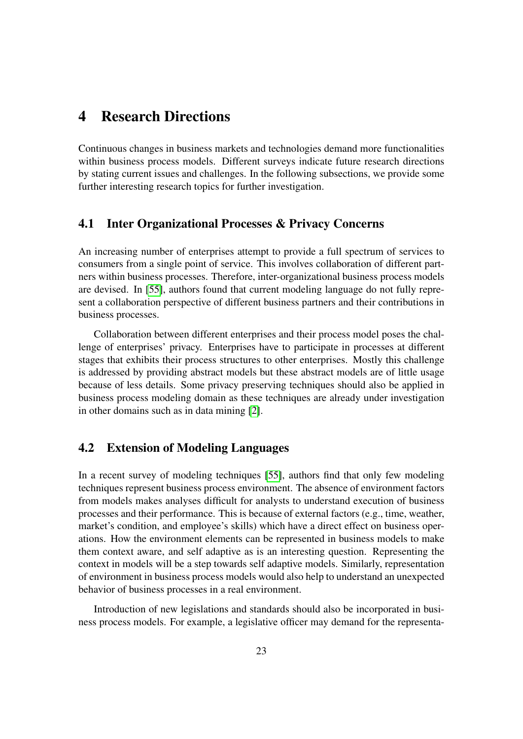# <span id="page-26-0"></span>4 Research Directions

Continuous changes in business markets and technologies demand more functionalities within business process models. Different surveys indicate future research directions by stating current issues and challenges. In the following subsections, we provide some further interesting research topics for further investigation.

#### <span id="page-26-1"></span>4.1 Inter Organizational Processes & Privacy Concerns

An increasing number of enterprises attempt to provide a full spectrum of services to consumers from a single point of service. This involves collaboration of different partners within business processes. Therefore, inter-organizational business process models are devised. In [\[55\]](#page-35-2), authors found that current modeling language do not fully represent a collaboration perspective of different business partners and their contributions in business processes.

Collaboration between different enterprises and their process model poses the challenge of enterprises' privacy. Enterprises have to participate in processes at different stages that exhibits their process structures to other enterprises. Mostly this challenge is addressed by providing abstract models but these abstract models are of little usage because of less details. Some privacy preserving techniques should also be applied in business process modeling domain as these techniques are already under investigation in other domains such as in data mining [\[2\]](#page-30-5).

## <span id="page-26-2"></span>4.2 Extension of Modeling Languages

In a recent survey of modeling techniques [\[55\]](#page-35-2), authors find that only few modeling techniques represent business process environment. The absence of environment factors from models makes analyses difficult for analysts to understand execution of business processes and their performance. This is because of external factors (e.g., time, weather, market's condition, and employee's skills) which have a direct effect on business operations. How the environment elements can be represented in business models to make them context aware, and self adaptive as is an interesting question. Representing the context in models will be a step towards self adaptive models. Similarly, representation of environment in business process models would also help to understand an unexpected behavior of business processes in a real environment.

Introduction of new legislations and standards should also be incorporated in business process models. For example, a legislative officer may demand for the representa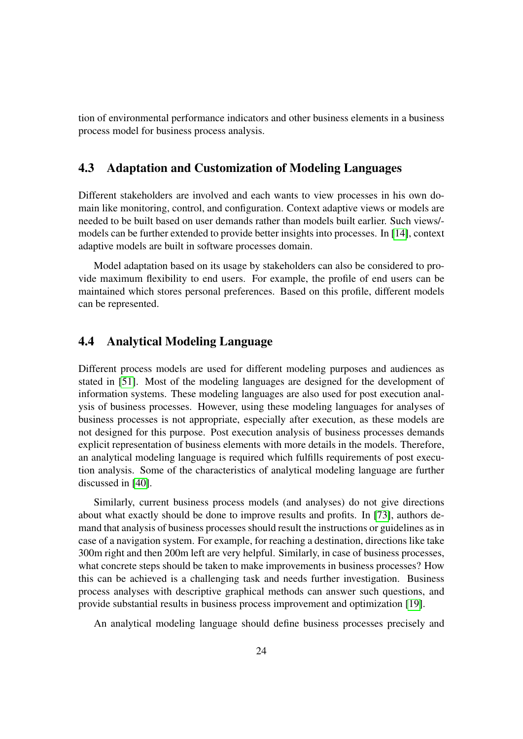tion of environmental performance indicators and other business elements in a business process model for business process analysis.

## <span id="page-27-0"></span>4.3 Adaptation and Customization of Modeling Languages

Different stakeholders are involved and each wants to view processes in his own domain like monitoring, control, and configuration. Context adaptive views or models are needed to be built based on user demands rather than models built earlier. Such views/ models can be further extended to provide better insights into processes. In [\[14\]](#page-31-13), context adaptive models are built in software processes domain.

Model adaptation based on its usage by stakeholders can also be considered to provide maximum flexibility to end users. For example, the profile of end users can be maintained which stores personal preferences. Based on this profile, different models can be represented.

## <span id="page-27-1"></span>4.4 Analytical Modeling Language

Different process models are used for different modeling purposes and audiences as stated in [\[51\]](#page-34-6). Most of the modeling languages are designed for the development of information systems. These modeling languages are also used for post execution analysis of business processes. However, using these modeling languages for analyses of business processes is not appropriate, especially after execution, as these models are not designed for this purpose. Post execution analysis of business processes demands explicit representation of business elements with more details in the models. Therefore, an analytical modeling language is required which fulfills requirements of post execution analysis. Some of the characteristics of analytical modeling language are further discussed in [\[40\]](#page-33-9).

Similarly, current business process models (and analyses) do not give directions about what exactly should be done to improve results and profits. In [\[73\]](#page-36-10), authors demand that analysis of business processes should result the instructions or guidelines as in case of a navigation system. For example, for reaching a destination, directions like take 300m right and then 200m left are very helpful. Similarly, in case of business processes, what concrete steps should be taken to make improvements in business processes? How this can be achieved is a challenging task and needs further investigation. Business process analyses with descriptive graphical methods can answer such questions, and provide substantial results in business process improvement and optimization [\[19\]](#page-31-8).

An analytical modeling language should define business processes precisely and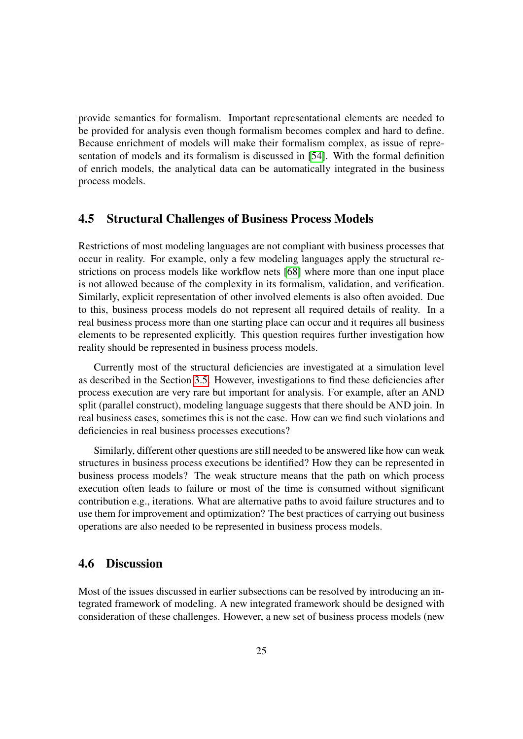provide semantics for formalism. Important representational elements are needed to be provided for analysis even though formalism becomes complex and hard to define. Because enrichment of models will make their formalism complex, as issue of representation of models and its formalism is discussed in [\[54\]](#page-34-10). With the formal definition of enrich models, the analytical data can be automatically integrated in the business process models.

### <span id="page-28-0"></span>4.5 Structural Challenges of Business Process Models

Restrictions of most modeling languages are not compliant with business processes that occur in reality. For example, only a few modeling languages apply the structural restrictions on process models like workflow nets [\[68\]](#page-36-1) where more than one input place is not allowed because of the complexity in its formalism, validation, and verification. Similarly, explicit representation of other involved elements is also often avoided. Due to this, business process models do not represent all required details of reality. In a real business process more than one starting place can occur and it requires all business elements to be represented explicitly. This question requires further investigation how reality should be represented in business process models.

Currently most of the structural deficiencies are investigated at a simulation level as described in the Section [3.5.](#page-20-1) However, investigations to find these deficiencies after process execution are very rare but important for analysis. For example, after an AND split (parallel construct), modeling language suggests that there should be AND join. In real business cases, sometimes this is not the case. How can we find such violations and deficiencies in real business processes executions?

Similarly, different other questions are still needed to be answered like how can weak structures in business process executions be identified? How they can be represented in business process models? The weak structure means that the path on which process execution often leads to failure or most of the time is consumed without significant contribution e.g., iterations. What are alternative paths to avoid failure structures and to use them for improvement and optimization? The best practices of carrying out business operations are also needed to be represented in business process models.

### 4.6 Discussion

Most of the issues discussed in earlier subsections can be resolved by introducing an integrated framework of modeling. A new integrated framework should be designed with consideration of these challenges. However, a new set of business process models (new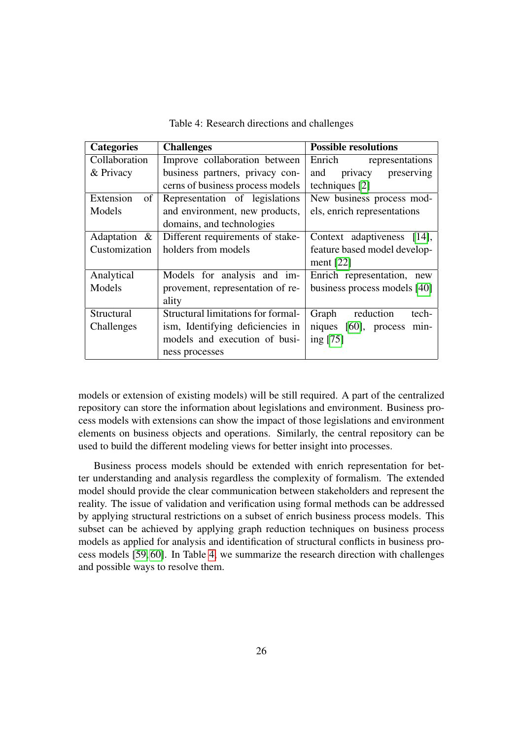| <b>Categories</b> | <b>Challenges</b>                  | <b>Possible resolutions</b>  |
|-------------------|------------------------------------|------------------------------|
| Collaboration     | Improve collaboration between      | Enrich<br>representations    |
| & Privacy         | business partners, privacy con-    | privacy<br>and<br>preserving |
|                   | cerns of business process models   | techniques [2]               |
| Extension<br>of   | Representation of legislations     | New business process mod-    |
| Models            | and environment, new products,     | els, enrich representations  |
|                   | domains, and technologies          |                              |
| Adaptation $\&$   | Different requirements of stake-   | Context adaptiveness [14],   |
| Customization     | holders from models                | feature based model develop- |
|                   |                                    | ment $[22]$                  |
| Analytical        | Models for analysis and im-        | Enrich representation, new   |
| Models            | provement, representation of re-   | business process models [40] |
|                   | ality                              |                              |
| Structural        | Structural limitations for formal- | reduction<br>Graph<br>tech-  |
| Challenges        | ism, Identifying deficiencies in   | niques [60], process min-    |
|                   | models and execution of busi-      | ing $[75]$                   |
|                   | ness processes                     |                              |

<span id="page-29-0"></span>Table 4: Research directions and challenges

models or extension of existing models) will be still required. A part of the centralized repository can store the information about legislations and environment. Business process models with extensions can show the impact of those legislations and environment elements on business objects and operations. Similarly, the central repository can be used to build the different modeling views for better insight into processes.

Business process models should be extended with enrich representation for better understanding and analysis regardless the complexity of formalism. The extended model should provide the clear communication between stakeholders and represent the reality. The issue of validation and verification using formal methods can be addressed by applying structural restrictions on a subset of enrich business process models. This subset can be achieved by applying graph reduction techniques on business process models as applied for analysis and identification of structural conflicts in business process models [\[59,](#page-35-8) [60\]](#page-35-7). In Table [4,](#page-29-0) we summarize the research direction with challenges and possible ways to resolve them.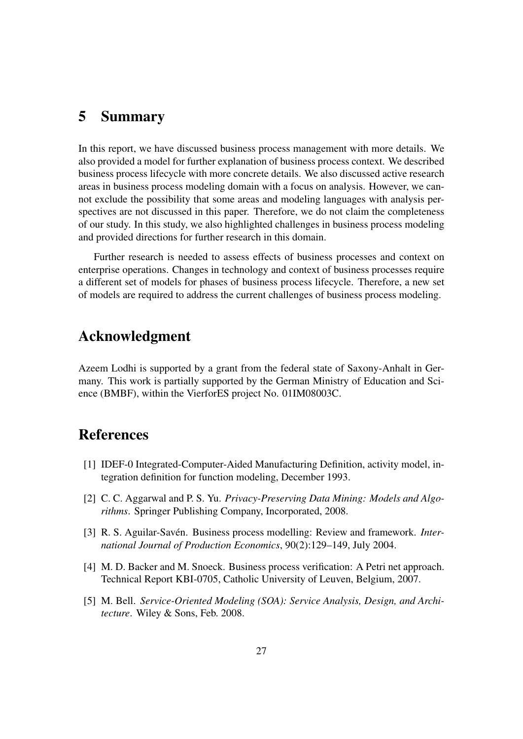# <span id="page-30-0"></span>5 Summary

In this report, we have discussed business process management with more details. We also provided a model for further explanation of business process context. We described business process lifecycle with more concrete details. We also discussed active research areas in business process modeling domain with a focus on analysis. However, we cannot exclude the possibility that some areas and modeling languages with analysis perspectives are not discussed in this paper. Therefore, we do not claim the completeness of our study. In this study, we also highlighted challenges in business process modeling and provided directions for further research in this domain.

Further research is needed to assess effects of business processes and context on enterprise operations. Changes in technology and context of business processes require a different set of models for phases of business process lifecycle. Therefore, a new set of models are required to address the current challenges of business process modeling.

# Acknowledgment

Azeem Lodhi is supported by a grant from the federal state of Saxony-Anhalt in Germany. This work is partially supported by the German Ministry of Education and Science (BMBF), within the VierforES project No. 01IM08003C.

# References

- <span id="page-30-1"></span>[1] IDEF-0 Integrated-Computer-Aided Manufacturing Definition, activity model, integration definition for function modeling, December 1993.
- <span id="page-30-5"></span>[2] C. C. Aggarwal and P. S. Yu. *Privacy-Preserving Data Mining: Models and Algorithms*. Springer Publishing Company, Incorporated, 2008.
- <span id="page-30-3"></span>[3] R. S. Aguilar-Savén. Business process modelling: Review and framework. *International Journal of Production Economics*, 90(2):129–149, July 2004.
- <span id="page-30-2"></span>[4] M. D. Backer and M. Snoeck. Business process verification: A Petri net approach. Technical Report KBI-0705, Catholic University of Leuven, Belgium, 2007.
- <span id="page-30-4"></span>[5] M. Bell. *Service-Oriented Modeling (SOA): Service Analysis, Design, and Architecture*. Wiley & Sons, Feb. 2008.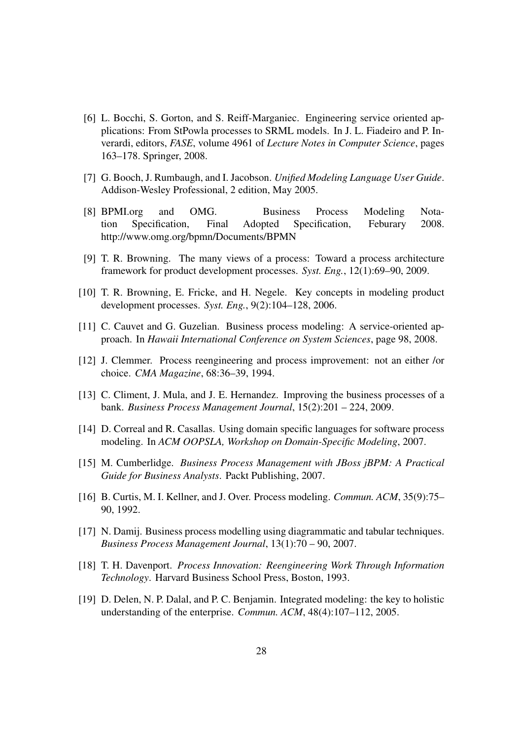- <span id="page-31-12"></span>[6] L. Bocchi, S. Gorton, and S. Reiff-Marganiec. Engineering service oriented applications: From StPowla processes to SRML models. In J. L. Fiadeiro and P. Inverardi, editors, *FASE*, volume 4961 of *Lecture Notes in Computer Science*, pages 163–178. Springer, 2008.
- <span id="page-31-5"></span>[7] G. Booch, J. Rumbaugh, and I. Jacobson. *Unified Modeling Language User Guide*. Addison-Wesley Professional, 2 edition, May 2005.
- <span id="page-31-4"></span>[8] BPMI.org and OMG. Business Process Modeling Notation Specification, Final Adopted Specification, Feburary 2008. http://www.omg.org/bpmn/Documents/BPMN
- <span id="page-31-9"></span>[9] T. R. Browning. The many views of a process: Toward a process architecture framework for product development processes. *Syst. Eng.*, 12(1):69–90, 2009.
- <span id="page-31-10"></span>[10] T. R. Browning, E. Fricke, and H. Negele. Key concepts in modeling product development processes. *Syst. Eng.*, 9(2):104–128, 2006.
- <span id="page-31-11"></span>[11] C. Cauvet and G. Guzelian. Business process modeling: A service-oriented approach. In *Hawaii International Conference on System Sciences*, page 98, 2008.
- <span id="page-31-3"></span>[12] J. Clemmer. Process reengineering and process improvement: not an either /or choice. *CMA Magazine*, 68:36–39, 1994.
- <span id="page-31-6"></span>[13] C. Climent, J. Mula, and J. E. Hernandez. Improving the business processes of a bank. *Business Process Management Journal*, 15(2):201 – 224, 2009.
- <span id="page-31-13"></span>[14] D. Correal and R. Casallas. Using domain specific languages for software process modeling. In *ACM OOPSLA, Workshop on Domain-Specific Modeling*, 2007.
- <span id="page-31-2"></span>[15] M. Cumberlidge. *Business Process Management with JBoss jBPM: A Practical Guide for Business Analysts*. Packt Publishing, 2007.
- <span id="page-31-0"></span>[16] B. Curtis, M. I. Kellner, and J. Over. Process modeling. *Commun. ACM*, 35(9):75– 90, 1992.
- <span id="page-31-7"></span>[17] N. Damij. Business process modelling using diagrammatic and tabular techniques. *Business Process Management Journal*, 13(1):70 – 90, 2007.
- <span id="page-31-1"></span>[18] T. H. Davenport. *Process Innovation: Reengineering Work Through Information Technology*. Harvard Business School Press, Boston, 1993.
- <span id="page-31-8"></span>[19] D. Delen, N. P. Dalal, and P. C. Benjamin. Integrated modeling: the key to holistic understanding of the enterprise. *Commun. ACM*, 48(4):107–112, 2005.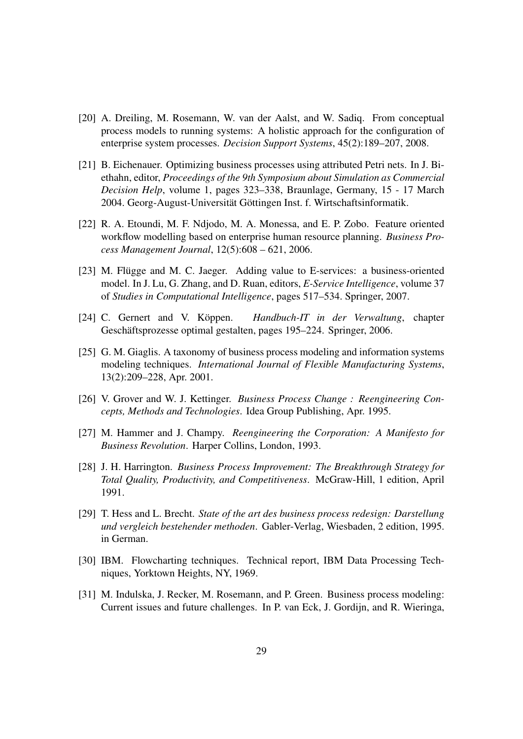- <span id="page-32-7"></span>[20] A. Dreiling, M. Rosemann, W. van der Aalst, and W. Sadiq. From conceptual process models to running systems: A holistic approach for the configuration of enterprise system processes. *Decision Support Systems*, 45(2):189–207, 2008.
- <span id="page-32-6"></span>[21] B. Eichenauer. Optimizing business processes using attributed Petri nets. In J. Biethahn, editor, *Proceedings of the 9th Symposium about Simulation as Commercial Decision Help*, volume 1, pages 323–338, Braunlage, Germany, 15 - 17 March 2004. Georg-August-Universität Göttingen Inst. f. Wirtschaftsinformatik.
- <span id="page-32-8"></span>[22] R. A. Etoundi, M. F. Ndjodo, M. A. Monessa, and E. P. Zobo. Feature oriented workflow modelling based on enterprise human resource planning. *Business Process Management Journal*, 12(5):608 – 621, 2006.
- <span id="page-32-11"></span> $[23]$  M. Flugge and M. C. Jaeger. Adding value to E-services: a business-oriented model. In J. Lu, G. Zhang, and D. Ruan, editors, *E-Service Intelligence*, volume 37 of *Studies in Computational Intelligence*, pages 517–534. Springer, 2007.
- <span id="page-32-0"></span>[24] C. Gernert and V. Koppen. ¨ *Handbuch-IT in der Verwaltung*, chapter Geschäftsprozesse optimal gestalten, pages 195–224. Springer, 2006.
- <span id="page-32-10"></span>[25] G. M. Giaglis. A taxonomy of business process modeling and information systems modeling techniques. *International Journal of Flexible Manufacturing Systems*, 13(2):209–228, Apr. 2001.
- <span id="page-32-4"></span>[26] V. Grover and W. J. Kettinger. *Business Process Change : Reengineering Concepts, Methods and Technologies*. Idea Group Publishing, Apr. 1995.
- <span id="page-32-1"></span>[27] M. Hammer and J. Champy. *Reengineering the Corporation: A Manifesto for Business Revolution*. Harper Collins, London, 1993.
- <span id="page-32-2"></span>[28] J. H. Harrington. *Business Process Improvement: The Breakthrough Strategy for Total Quality, Productivity, and Competitiveness*. McGraw-Hill, 1 edition, April 1991.
- <span id="page-32-3"></span>[29] T. Hess and L. Brecht. *State of the art des business process redesign: Darstellung und vergleich bestehender methoden*. Gabler-Verlag, Wiesbaden, 2 edition, 1995. in German.
- <span id="page-32-5"></span>[30] IBM. Flowcharting techniques. Technical report, IBM Data Processing Techniques, Yorktown Heights, NY, 1969.
- <span id="page-32-9"></span>[31] M. Indulska, J. Recker, M. Rosemann, and P. Green. Business process modeling: Current issues and future challenges. In P. van Eck, J. Gordijn, and R. Wieringa,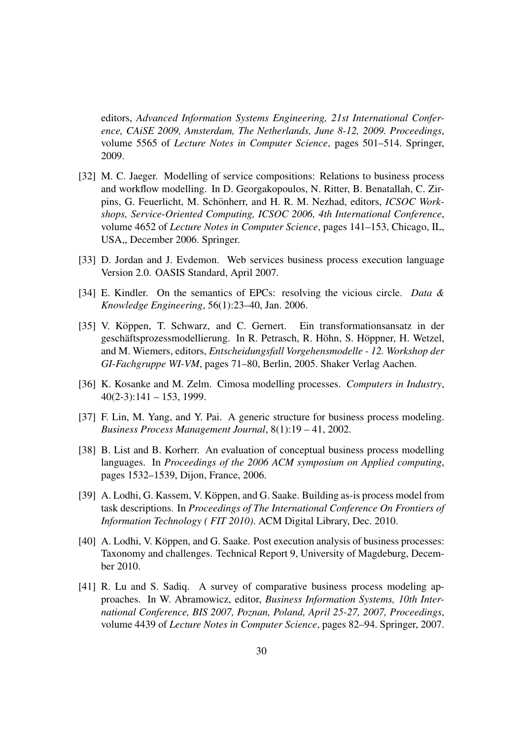editors, *Advanced Information Systems Engineering, 21st International Conference, CAiSE 2009, Amsterdam, The Netherlands, June 8-12, 2009. Proceedings*, volume 5565 of *Lecture Notes in Computer Science*, pages 501–514. Springer, 2009.

- <span id="page-33-7"></span>[32] M. C. Jaeger. Modelling of service compositions: Relations to business process and workflow modelling. In D. Georgakopoulos, N. Ritter, B. Benatallah, C. Zirpins, G. Feuerlicht, M. Schönherr, and H. R. M. Nezhad, editors, *ICSOC Workshops, Service-Oriented Computing, ICSOC 2006, 4th International Conference*, volume 4652 of *Lecture Notes in Computer Science*, pages 141–153, Chicago, IL, USA,, December 2006. Springer.
- <span id="page-33-5"></span>[33] D. Jordan and J. Evdemon. Web services business process execution language Version 2.0. OASIS Standard, April 2007.
- <span id="page-33-3"></span>[34] E. Kindler. On the semantics of EPCs: resolving the vicious circle. *Data & Knowledge Engineering*, 56(1):23–40, Jan. 2006.
- <span id="page-33-4"></span>[35] V. Köppen, T. Schwarz, and C. Gernert. Ein transformationsansatz in der geschäftsprozessmodellierung. In R. Petrasch, R. Höhn, S. Höppner, H. Wetzel, and M. Wiemers, editors, *Entscheidungsfall Vorgehensmodelle - 12. Workshop der GI-Fachgruppe WI-VM*, pages 71–80, Berlin, 2005. Shaker Verlag Aachen.
- <span id="page-33-1"></span>[36] K. Kosanke and M. Zelm. Cimosa modelling processes. *Computers in Industry*,  $40(2-3):141-153,1999.$
- <span id="page-33-2"></span>[37] F. Lin, M. Yang, and Y. Pai. A generic structure for business process modeling. *Business Process Management Journal*, 8(1):19 – 41, 2002.
- <span id="page-33-0"></span>[38] B. List and B. Korherr. An evaluation of conceptual business process modelling languages. In *Proceedings of the 2006 ACM symposium on Applied computing*, pages 1532–1539, Dijon, France, 2006.
- <span id="page-33-8"></span>[39] A. Lodhi, G. Kassem, V. Köppen, and G. Saake. Building as-is process model from task descriptions. In *Proceedings of The International Conference On Frontiers of Information Technology ( FIT 2010)*. ACM Digital Library, Dec. 2010.
- <span id="page-33-9"></span>[40] A. Lodhi, V. Köppen, and G. Saake. Post execution analysis of business processes: Taxonomy and challenges. Technical Report 9, University of Magdeburg, December 2010.
- <span id="page-33-6"></span>[41] R. Lu and S. Sadiq. A survey of comparative business process modeling approaches. In W. Abramowicz, editor, *Business Information Systems, 10th International Conference, BIS 2007, Poznan, Poland, April 25-27, 2007, Proceedings*, volume 4439 of *Lecture Notes in Computer Science*, pages 82–94. Springer, 2007.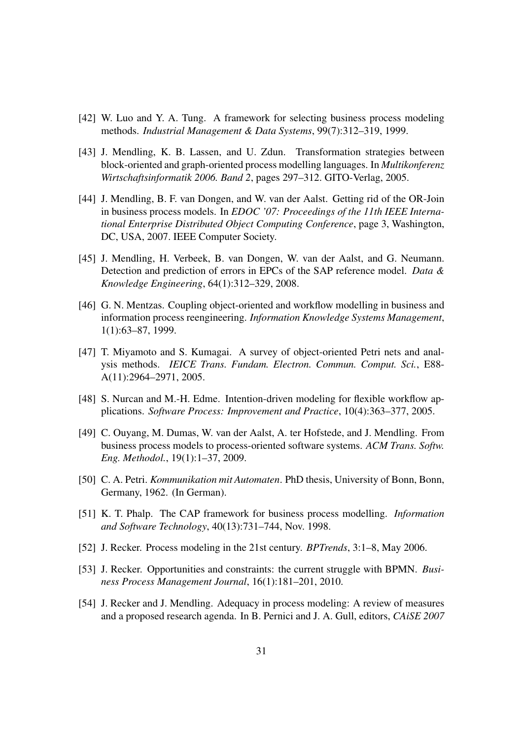- <span id="page-34-12"></span>[42] W. Luo and Y. A. Tung. A framework for selecting business process modeling methods. *Industrial Management & Data Systems*, 99(7):312–319, 1999.
- <span id="page-34-9"></span>[43] J. Mendling, K. B. Lassen, and U. Zdun. Transformation strategies between block-oriented and graph-oriented process modelling languages. In *Multikonferenz Wirtschaftsinformatik 2006. Band 2*, pages 297–312. GITO-Verlag, 2005.
- <span id="page-34-8"></span>[44] J. Mendling, B. F. van Dongen, and W. van der Aalst. Getting rid of the OR-Join in business process models. In *EDOC '07: Proceedings of the 11th IEEE International Enterprise Distributed Object Computing Conference*, page 3, Washington, DC, USA, 2007. IEEE Computer Society.
- <span id="page-34-7"></span>[45] J. Mendling, H. Verbeek, B. van Dongen, W. van der Aalst, and G. Neumann. Detection and prediction of errors in EPCs of the SAP reference model. *Data & Knowledge Engineering*, 64(1):312–329, 2008.
- <span id="page-34-5"></span>[46] G. N. Mentzas. Coupling object-oriented and workflow modelling in business and information process reengineering. *Information Knowledge Systems Management*, 1(1):63–87, 1999.
- <span id="page-34-2"></span>[47] T. Miyamoto and S. Kumagai. A survey of object-oriented Petri nets and analysis methods. *IEICE Trans. Fundam. Electron. Commun. Comput. Sci.*, E88- A(11):2964–2971, 2005.
- <span id="page-34-11"></span>[48] S. Nurcan and M.-H. Edme. Intention-driven modeling for flexible workflow applications. *Software Process: Improvement and Practice*, 10(4):363–377, 2005.
- <span id="page-34-3"></span>[49] C. Ouyang, M. Dumas, W. van der Aalst, A. ter Hofstede, and J. Mendling. From business process models to process-oriented software systems. *ACM Trans. Softw. Eng. Methodol.*, 19(1):1–37, 2009.
- <span id="page-34-1"></span>[50] C. A. Petri. *Kommunikation mit Automaten*. PhD thesis, University of Bonn, Bonn, Germany, 1962. (In German).
- <span id="page-34-6"></span>[51] K. T. Phalp. The CAP framework for business process modelling. *Information and Software Technology*, 40(13):731–744, Nov. 1998.
- <span id="page-34-0"></span>[52] J. Recker. Process modeling in the 21st century. *BPTrends*, 3:1–8, May 2006.
- <span id="page-34-4"></span>[53] J. Recker. Opportunities and constraints: the current struggle with BPMN. *Business Process Management Journal*, 16(1):181–201, 2010.
- <span id="page-34-10"></span>[54] J. Recker and J. Mendling. Adequacy in process modeling: A review of measures and a proposed research agenda. In B. Pernici and J. A. Gull, editors, *CAiSE 2007*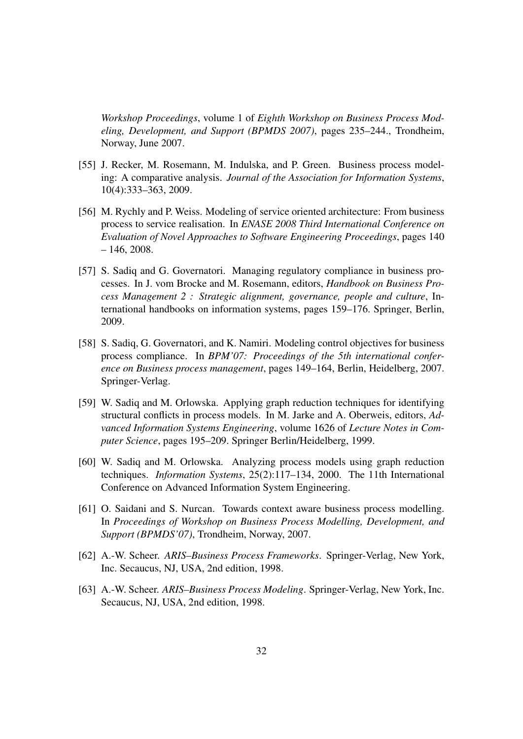*Workshop Proceedings*, volume 1 of *Eighth Workshop on Business Process Modeling, Development, and Support (BPMDS 2007)*, pages 235–244., Trondheim, Norway, June 2007.

- <span id="page-35-2"></span>[55] J. Recker, M. Rosemann, M. Indulska, and P. Green. Business process modeling: A comparative analysis. *Journal of the Association for Information Systems*, 10(4):333–363, 2009.
- <span id="page-35-6"></span>[56] M. Rychly and P. Weiss. Modeling of service oriented architecture: From business process to service realisation. In *ENASE 2008 Third International Conference on Evaluation of Novel Approaches to Software Engineering Proceedings*, pages 140  $-146, 2008.$
- <span id="page-35-4"></span>[57] S. Sadiq and G. Governatori. Managing regulatory compliance in business processes. In J. vom Brocke and M. Rosemann, editors, *Handbook on Business Process Management 2 : Strategic alignment, governance, people and culture*, International handbooks on information systems, pages 159–176. Springer, Berlin, 2009.
- <span id="page-35-3"></span>[58] S. Sadiq, G. Governatori, and K. Namiri. Modeling control objectives for business process compliance. In *BPM'07: Proceedings of the 5th international conference on Business process management*, pages 149–164, Berlin, Heidelberg, 2007. Springer-Verlag.
- <span id="page-35-8"></span>[59] W. Sadiq and M. Orlowska. Applying graph reduction techniques for identifying structural conflicts in process models. In M. Jarke and A. Oberweis, editors, *Advanced Information Systems Engineering*, volume 1626 of *Lecture Notes in Computer Science*, pages 195–209. Springer Berlin/Heidelberg, 1999.
- <span id="page-35-7"></span>[60] W. Sadiq and M. Orlowska. Analyzing process models using graph reduction techniques. *Information Systems*, 25(2):117–134, 2000. The 11th International Conference on Advanced Information System Engineering.
- <span id="page-35-5"></span>[61] O. Saidani and S. Nurcan. Towards context aware business process modelling. In *Proceedings of Workshop on Business Process Modelling, Development, and Support (BPMDS'07)*, Trondheim, Norway, 2007.
- <span id="page-35-1"></span>[62] A.-W. Scheer. *ARIS–Business Process Frameworks*. Springer-Verlag, New York, Inc. Secaucus, NJ, USA, 2nd edition, 1998.
- <span id="page-35-0"></span>[63] A.-W. Scheer. *ARIS–Business Process Modeling*. Springer-Verlag, New York, Inc. Secaucus, NJ, USA, 2nd edition, 1998.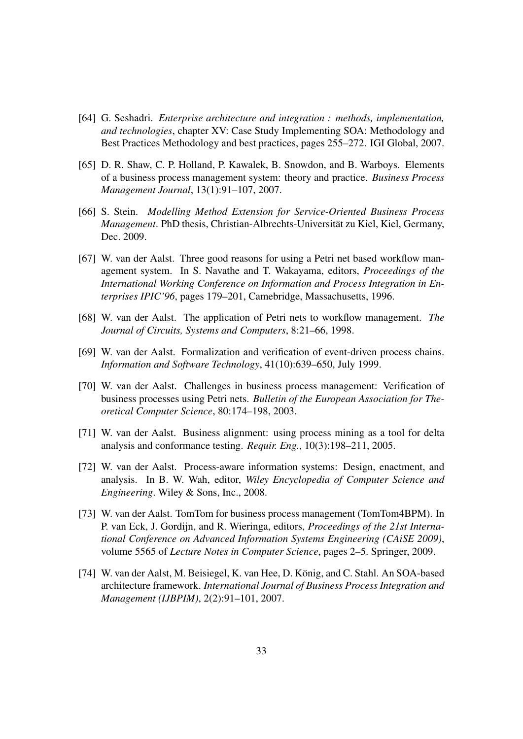- <span id="page-36-7"></span>[64] G. Seshadri. *Enterprise architecture and integration : methods, implementation, and technologies*, chapter XV: Case Study Implementing SOA: Methodology and Best Practices Methodology and best practices, pages 255–272. IGI Global, 2007.
- <span id="page-36-6"></span>[65] D. R. Shaw, C. P. Holland, P. Kawalek, B. Snowdon, and B. Warboys. Elements of a business process management system: theory and practice. *Business Process Management Journal*, 13(1):91–107, 2007.
- <span id="page-36-9"></span>[66] S. Stein. *Modelling Method Extension for Service-Oriented Business Process Management*. PhD thesis, Christian-Albrechts-Universität zu Kiel, Kiel, Germany, Dec. 2009.
- <span id="page-36-0"></span>[67] W. van der Aalst. Three good reasons for using a Petri net based workflow management system. In S. Navathe and T. Wakayama, editors, *Proceedings of the International Working Conference on Information and Process Integration in Enterprises IPIC'96*, pages 179–201, Camebridge, Massachusetts, 1996.
- <span id="page-36-1"></span>[68] W. van der Aalst. The application of Petri nets to workflow management. *The Journal of Circuits, Systems and Computers*, 8:21–66, 1998.
- <span id="page-36-3"></span>[69] W. van der Aalst. Formalization and verification of event-driven process chains. *Information and Software Technology*, 41(10):639–650, July 1999.
- <span id="page-36-4"></span>[70] W. van der Aalst. Challenges in business process management: Verification of business processes using Petri nets. *Bulletin of the European Association for Theoretical Computer Science*, 80:174–198, 2003.
- <span id="page-36-5"></span>[71] W. van der Aalst. Business alignment: using process mining as a tool for delta analysis and conformance testing. *Requir. Eng.*, 10(3):198–211, 2005.
- <span id="page-36-2"></span>[72] W. van der Aalst. Process-aware information systems: Design, enactment, and analysis. In B. W. Wah, editor, *Wiley Encyclopedia of Computer Science and Engineering*. Wiley & Sons, Inc., 2008.
- <span id="page-36-10"></span>[73] W. van der Aalst. TomTom for business process management (TomTom4BPM). In P. van Eck, J. Gordijn, and R. Wieringa, editors, *Proceedings of the 21st International Conference on Advanced Information Systems Engineering (CAiSE 2009)*, volume 5565 of *Lecture Notes in Computer Science*, pages 2–5. Springer, 2009.
- <span id="page-36-8"></span>[74] W. van der Aalst, M. Beisiegel, K. van Hee, D. Konig, and C. Stahl. An SOA-based ¨ architecture framework. *International Journal of Business Process Integration and Management (IJBPIM)*, 2(2):91–101, 2007.